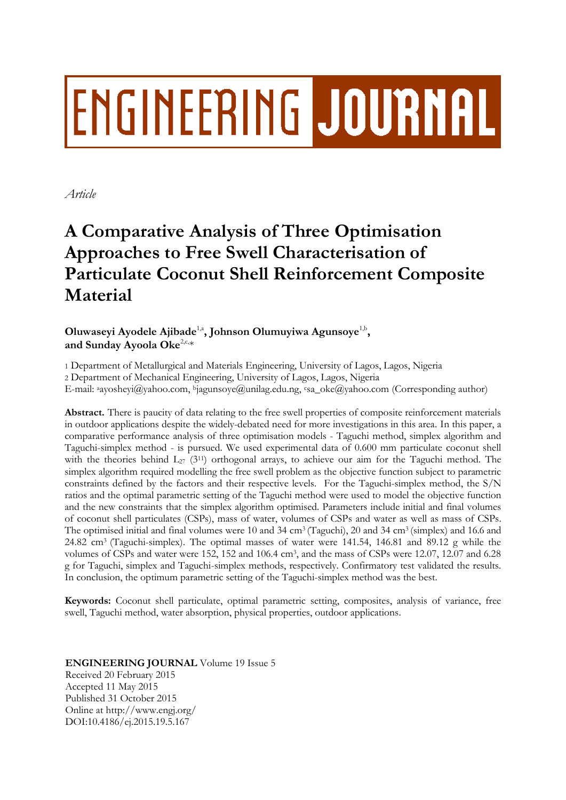# **ENGINEERING JOURNAL**

*Article*

# **A Comparative Analysis of Three Optimisation Approaches to Free Swell Characterisation of Particulate Coconut Shell Reinforcement Composite Material**

Oluwaseyi Ayodele Ajibade<sup>1,a</sup>, Johnson Olumuyiwa Agunsoye<sup>1,b</sup>, and Sunday Ayoola Oke<sup>2,c,\*</sup>

1 Department of Metallurgical and Materials Engineering, University of Lagos, Lagos, Nigeria

2 Department of Mechanical Engineering, University of Lagos, Lagos, Nigeria

E-mail: <sup>a</sup>ayosheyi@yahoo.com, <sup>b</sup>jagunsoye@unilag.edu.ng, <sup>c</sup>sa\_oke@yahoo.com (Corresponding author)

**Abstract.** There is paucity of data relating to the free swell properties of composite reinforcement materials in outdoor applications despite the widely-debated need for more investigations in this area. In this paper, a comparative performance analysis of three optimisation models - Taguchi method, simplex algorithm and Taguchi-simplex method - is pursued. We used experimental data of 0.600 mm particulate coconut shell with the theories behind  $L_{27}$  (3<sup>11</sup>) orthogonal arrays, to achieve our aim for the Taguchi method. The simplex algorithm required modelling the free swell problem as the objective function subject to parametric constraints defined by the factors and their respective levels. For the Taguchi-simplex method, the S/N ratios and the optimal parametric setting of the Taguchi method were used to model the objective function and the new constraints that the simplex algorithm optimised. Parameters include initial and final volumes of coconut shell particulates (CSPs), mass of water, volumes of CSPs and water as well as mass of CSPs. The optimised initial and final volumes were 10 and 34 cm<sup>3</sup> (Taguchi), 20 and 34 cm<sup>3</sup> (simplex) and 16.6 and 24.82 cm3 (Taguchi-simplex). The optimal masses of water were 141.54, 146.81 and 89.12 g while the volumes of CSPs and water were 152, 152 and 106.4 cm<sup>3</sup> , and the mass of CSPs were 12.07, 12.07 and 6.28 g for Taguchi, simplex and Taguchi-simplex methods, respectively. Confirmatory test validated the results. In conclusion, the optimum parametric setting of the Taguchi-simplex method was the best.

**Keywords:** Coconut shell particulate, optimal parametric setting, composites, analysis of variance, free swell, Taguchi method, water absorption, physical properties, outdoor applications.

**ENGINEERING JOURNAL** Volume 19 Issue 5 Received 20 February 2015 Accepted 11 May 2015 Published 31 October 2015

Online at http://www.engj.org/ DOI:10.4186/ej.2015.19.5.167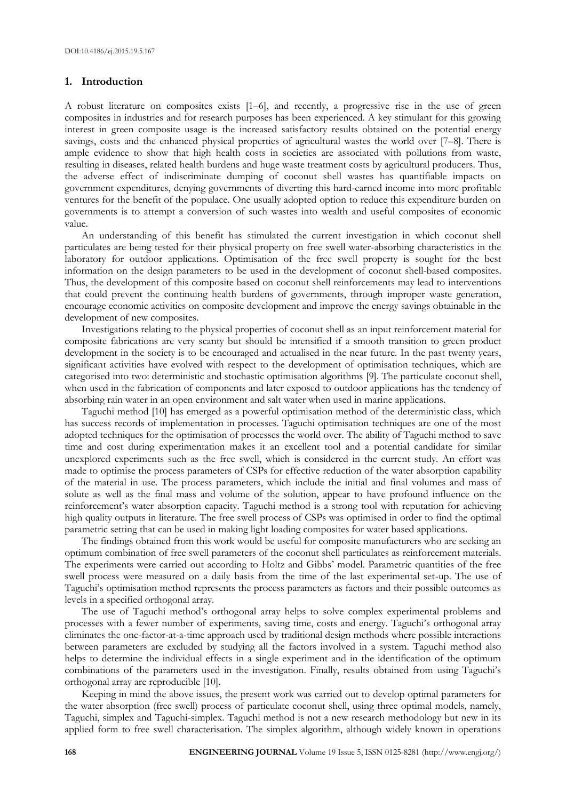# **1. Introduction**

A robust literature on composites exists [1–6], and recently, a progressive rise in the use of green composites in industries and for research purposes has been experienced. A key stimulant for this growing interest in green composite usage is the increased satisfactory results obtained on the potential energy savings, costs and the enhanced physical properties of agricultural wastes the world over [7–8]. There is ample evidence to show that high health costs in societies are associated with pollutions from waste, resulting in diseases, related health burdens and huge waste treatment costs by agricultural producers. Thus, the adverse effect of indiscriminate dumping of coconut shell wastes has quantifiable impacts on government expenditures, denying governments of diverting this hard-earned income into more profitable ventures for the benefit of the populace. One usually adopted option to reduce this expenditure burden on governments is to attempt a conversion of such wastes into wealth and useful composites of economic value.

An understanding of this benefit has stimulated the current investigation in which coconut shell particulates are being tested for their physical property on free swell water-absorbing characteristics in the laboratory for outdoor applications. Optimisation of the free swell property is sought for the best information on the design parameters to be used in the development of coconut shell-based composites. Thus, the development of this composite based on coconut shell reinforcements may lead to interventions that could prevent the continuing health burdens of governments, through improper waste generation, encourage economic activities on composite development and improve the energy savings obtainable in the development of new composites.

Investigations relating to the physical properties of coconut shell as an input reinforcement material for composite fabrications are very scanty but should be intensified if a smooth transition to green product development in the society is to be encouraged and actualised in the near future. In the past twenty years, significant activities have evolved with respect to the development of optimisation techniques, which are categorised into two: deterministic and stochastic optimisation algorithms [9]. The particulate coconut shell, when used in the fabrication of components and later exposed to outdoor applications has the tendency of absorbing rain water in an open environment and salt water when used in marine applications.

Taguchi method [10] has emerged as a powerful optimisation method of the deterministic class, which has success records of implementation in processes. Taguchi optimisation techniques are one of the most adopted techniques for the optimisation of processes the world over. The ability of Taguchi method to save time and cost during experimentation makes it an excellent tool and a potential candidate for similar unexplored experiments such as the free swell, which is considered in the current study. An effort was made to optimise the process parameters of CSPs for effective reduction of the water absorption capability of the material in use. The process parameters, which include the initial and final volumes and mass of solute as well as the final mass and volume of the solution, appear to have profound influence on the reinforcement's water absorption capacity. Taguchi method is a strong tool with reputation for achieving high quality outputs in literature. The free swell process of CSPs was optimised in order to find the optimal parametric setting that can be used in making light loading composites for water based applications.

The findings obtained from this work would be useful for composite manufacturers who are seeking an optimum combination of free swell parameters of the coconut shell particulates as reinforcement materials. The experiments were carried out according to Holtz and Gibbs' model. Parametric quantities of the free swell process were measured on a daily basis from the time of the last experimental set-up. The use of Taguchi's optimisation method represents the process parameters as factors and their possible outcomes as levels in a specified orthogonal array.

The use of Taguchi method's orthogonal array helps to solve complex experimental problems and processes with a fewer number of experiments, saving time, costs and energy. Taguchi's orthogonal array eliminates the one-factor-at-a-time approach used by traditional design methods where possible interactions between parameters are excluded by studying all the factors involved in a system. Taguchi method also helps to determine the individual effects in a single experiment and in the identification of the optimum combinations of the parameters used in the investigation. Finally, results obtained from using Taguchi's orthogonal array are reproducible [10].

Keeping in mind the above issues, the present work was carried out to develop optimal parameters for the water absorption (free swell) process of particulate coconut shell, using three optimal models, namely, Taguchi, simplex and Taguchi-simplex. Taguchi method is not a new research methodology but new in its applied form to free swell characterisation. The simplex algorithm, although widely known in operations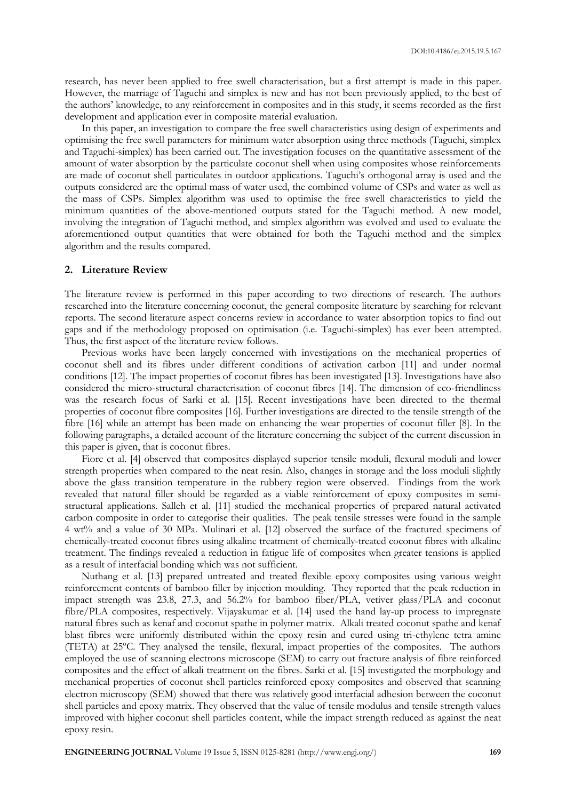research, has never been applied to free swell characterisation, but a first attempt is made in this paper. However, the marriage of Taguchi and simplex is new and has not been previously applied, to the best of the authors' knowledge, to any reinforcement in composites and in this study, it seems recorded as the first development and application ever in composite material evaluation.

In this paper, an investigation to compare the free swell characteristics using design of experiments and optimising the free swell parameters for minimum water absorption using three methods (Taguchi, simplex and Taguchi-simplex) has been carried out. The investigation focuses on the quantitative assessment of the amount of water absorption by the particulate coconut shell when using composites whose reinforcements are made of coconut shell particulates in outdoor applications. Taguchi's orthogonal array is used and the outputs considered are the optimal mass of water used, the combined volume of CSPs and water as well as the mass of CSPs. Simplex algorithm was used to optimise the free swell characteristics to yield the minimum quantities of the above-mentioned outputs stated for the Taguchi method. A new model, involving the integration of Taguchi method, and simplex algorithm was evolved and used to evaluate the aforementioned output quantities that were obtained for both the Taguchi method and the simplex algorithm and the results compared.

# **2. Literature Review**

The literature review is performed in this paper according to two directions of research. The authors researched into the literature concerning coconut, the general composite literature by searching for relevant reports. The second literature aspect concerns review in accordance to water absorption topics to find out gaps and if the methodology proposed on optimisation (i.e. Taguchi-simplex) has ever been attempted. Thus, the first aspect of the literature review follows.

Previous works have been largely concerned with investigations on the mechanical properties of coconut shell and its fibres under different conditions of activation carbon [11] and under normal conditions [12]. The impact properties of coconut fibres has been investigated [13]. Investigations have also considered the micro-structural characterisation of coconut fibres [14]. The dimension of eco-friendliness was the research focus of Sarki et al. [15]. Recent investigations have been directed to the thermal properties of coconut fibre composites [16]. Further investigations are directed to the tensile strength of the fibre [16] while an attempt has been made on enhancing the wear properties of coconut filler [8]. In the following paragraphs, a detailed account of the literature concerning the subject of the current discussion in this paper is given, that is coconut fibres.

Fiore et al. [4] observed that composites displayed superior tensile moduli, flexural moduli and lower strength properties when compared to the neat resin. Also, changes in storage and the loss moduli slightly above the glass transition temperature in the rubbery region were observed. Findings from the work revealed that natural filler should be regarded as a viable reinforcement of epoxy composites in semistructural applications. Salleh et al. [11] studied the mechanical properties of prepared natural activated carbon composite in order to categorise their qualities. The peak tensile stresses were found in the sample 4 wt% and a value of 30 MPa. Mulinari et al. [12] observed the surface of the fractured specimens of chemically-treated coconut fibres using alkaline treatment of chemically-treated coconut fibres with alkaline treatment. The findings revealed a reduction in fatigue life of composites when greater tensions is applied as a result of interfacial bonding which was not sufficient.

Nuthang et al. [13] prepared untreated and treated flexible epoxy composites using various weight reinforcement contents of bamboo filler by injection moulding. They reported that the peak reduction in impact strength was 23.8, 27.3, and 56.2% for bamboo fiber/PLA, vetiver glass/PLA and coconut fibre/PLA composites, respectively. Vijayakumar et al. [14] used the hand lay-up process to impregnate natural fibres such as kenaf and coconut spathe in polymer matrix. Alkali treated coconut spathe and kenaf blast fibres were uniformly distributed within the epoxy resin and cured using tri-ethylene tetra amine (TETA) at 25ºC. They analysed the tensile, flexural, impact properties of the composites. The authors employed the use of scanning electrons microscope (SEM) to carry out fracture analysis of fibre reinforced composites and the effect of alkali treatment on the fibres. Sarki et al. [15] investigated the morphology and mechanical properties of coconut shell particles reinforced epoxy composites and observed that scanning electron microscopy (SEM) showed that there was relatively good interfacial adhesion between the coconut shell particles and epoxy matrix. They observed that the value of tensile modulus and tensile strength values improved with higher coconut shell particles content, while the impact strength reduced as against the neat epoxy resin.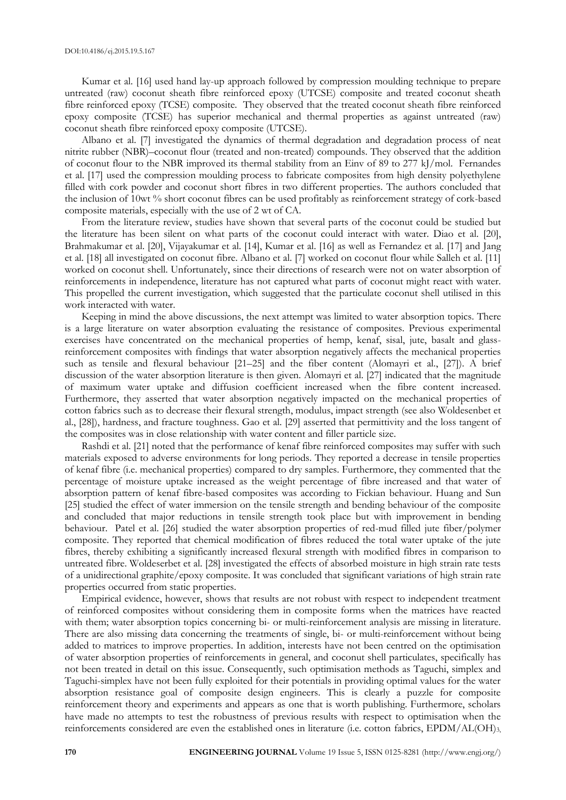Kumar et al. [16] used hand lay-up approach followed by compression moulding technique to prepare untreated (raw) coconut sheath fibre reinforced epoxy (UTCSE) composite and treated coconut sheath fibre reinforced epoxy (TCSE) composite. They observed that the treated coconut sheath fibre reinforced epoxy composite (TCSE) has superior mechanical and thermal properties as against untreated (raw) coconut sheath fibre reinforced epoxy composite (UTCSE).

Albano et al. [7] investigated the dynamics of thermal degradation and degradation process of neat nitrite rubber (NBR)–coconut flour (treated and non-treated) compounds. They observed that the addition of coconut flour to the NBR improved its thermal stability from an Einv of 89 to 277 kJ/mol. Fernandes et al. [17] used the compression moulding process to fabricate composites from high density polyethylene filled with cork powder and coconut short fibres in two different properties. The authors concluded that the inclusion of 10wt % short coconut fibres can be used profitably as reinforcement strategy of cork-based composite materials, especially with the use of 2 wt of CA.

From the literature review, studies have shown that several parts of the coconut could be studied but the literature has been silent on what parts of the coconut could interact with water. Diao et al. [20], Brahmakumar et al. [20], Vijayakumar et al. [14], Kumar et al. [16] as well as Fernandez et al. [17] and Jang et al. [18] all investigated on coconut fibre. Albano et al. [7] worked on coconut flour while Salleh et al. [11] worked on coconut shell. Unfortunately, since their directions of research were not on water absorption of reinforcements in independence, literature has not captured what parts of coconut might react with water. This propelled the current investigation, which suggested that the particulate coconut shell utilised in this work interacted with water.

Keeping in mind the above discussions, the next attempt was limited to water absorption topics. There is a large literature on water absorption evaluating the resistance of composites. Previous experimental exercises have concentrated on the mechanical properties of hemp, kenaf, sisal, jute, basalt and glassreinforcement composites with findings that water absorption negatively affects the mechanical properties such as tensile and flexural behaviour [21–25] and the fiber content (Alomayri et al., [27]). A brief discussion of the water absorption literature is then given. Alomayri et al. [27] indicated that the magnitude of maximum water uptake and diffusion coefficient increased when the fibre content increased. Furthermore, they asserted that water absorption negatively impacted on the mechanical properties of cotton fabrics such as to decrease their flexural strength, modulus, impact strength (see also Woldesenbet et al., [28]), hardness, and fracture toughness. Gao et al. [29] asserted that permittivity and the loss tangent of the composites was in close relationship with water content and filler particle size.

Rashdi et al. [21] noted that the performance of kenaf fibre reinforced composites may suffer with such materials exposed to adverse environments for long periods. They reported a decrease in tensile properties of kenaf fibre (i.e. mechanical properties) compared to dry samples. Furthermore, they commented that the percentage of moisture uptake increased as the weight percentage of fibre increased and that water of absorption pattern of kenaf fibre-based composites was according to Fickian behaviour. Huang and Sun [25] studied the effect of water immersion on the tensile strength and bending behaviour of the composite and concluded that major reductions in tensile strength took place but with improvement in bending behaviour. Patel et al. [26] studied the water absorption properties of red-mud filled jute fiber/polymer composite. They reported that chemical modification of fibres reduced the total water uptake of the jute fibres, thereby exhibiting a significantly increased flexural strength with modified fibres in comparison to untreated fibre. Woldeserbet et al. [28] investigated the effects of absorbed moisture in high strain rate tests of a unidirectional graphite/epoxy composite. It was concluded that significant variations of high strain rate properties occurred from static properties.

Empirical evidence, however, shows that results are not robust with respect to independent treatment of reinforced composites without considering them in composite forms when the matrices have reacted with them; water absorption topics concerning bi- or multi-reinforcement analysis are missing in literature. There are also missing data concerning the treatments of single, bi- or multi-reinforcement without being added to matrices to improve properties. In addition, interests have not been centred on the optimisation of water absorption properties of reinforcements in general, and coconut shell particulates, specifically has not been treated in detail on this issue. Consequently, such optimisation methods as Taguchi, simplex and Taguchi-simplex have not been fully exploited for their potentials in providing optimal values for the water absorption resistance goal of composite design engineers. This is clearly a puzzle for composite reinforcement theory and experiments and appears as one that is worth publishing. Furthermore, scholars have made no attempts to test the robustness of previous results with respect to optimisation when the reinforcements considered are even the established ones in literature (i.e. cotton fabrics, EPDM/AL(OH)<sub>3</sub>,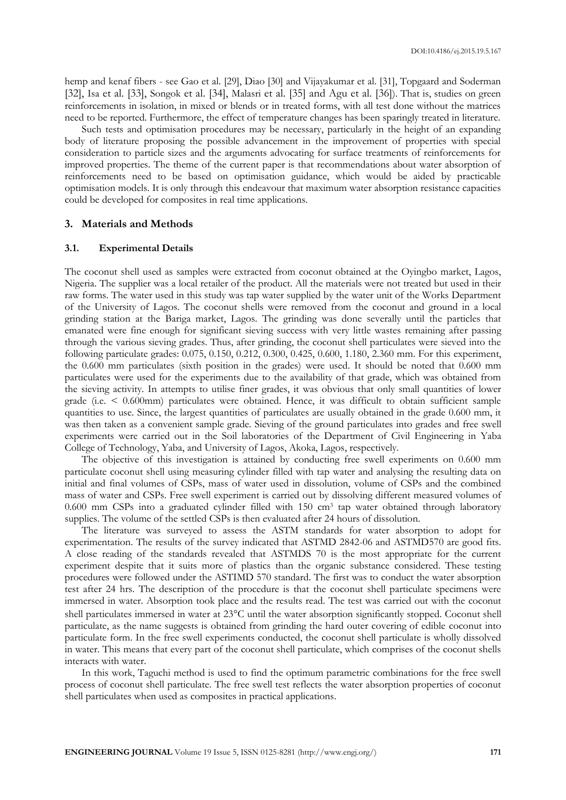hemp and kenaf fibers - see Gao et al. [29], Diao [30] and Vijayakumar et al. [31], Topgaard and Soderman [32], Isa et al. [33], Songok et al. [34], Malasri et al. [35] and Agu et al. [36]). That is, studies on green reinforcements in isolation, in mixed or blends or in treated forms, with all test done without the matrices need to be reported. Furthermore, the effect of temperature changes has been sparingly treated in literature.

Such tests and optimisation procedures may be necessary, particularly in the height of an expanding body of literature proposing the possible advancement in the improvement of properties with special consideration to particle sizes and the arguments advocating for surface treatments of reinforcements for improved properties. The theme of the current paper is that recommendations about water absorption of reinforcements need to be based on optimisation guidance, which would be aided by practicable optimisation models. It is only through this endeavour that maximum water absorption resistance capacities could be developed for composites in real time applications.

#### **3. Materials and Methods**

#### **3.1. Experimental Details**

The coconut shell used as samples were extracted from coconut obtained at the Oyingbo market, Lagos, Nigeria. The supplier was a local retailer of the product. All the materials were not treated but used in their raw forms. The water used in this study was tap water supplied by the water unit of the Works Department of the University of Lagos. The coconut shells were removed from the coconut and ground in a local grinding station at the Bariga market, Lagos. The grinding was done severally until the particles that emanated were fine enough for significant sieving success with very little wastes remaining after passing through the various sieving grades. Thus, after grinding, the coconut shell particulates were sieved into the following particulate grades: 0.075, 0.150, 0.212, 0.300, 0.425, 0.600, 1.180, 2.360 mm. For this experiment, the 0.600 mm particulates (sixth position in the grades) were used. It should be noted that 0.600 mm particulates were used for the experiments due to the availability of that grade, which was obtained from the sieving activity. In attempts to utilise finer grades, it was obvious that only small quantities of lower grade (i.e. < 0.600mm) particulates were obtained. Hence, it was difficult to obtain sufficient sample quantities to use. Since, the largest quantities of particulates are usually obtained in the grade 0.600 mm, it was then taken as a convenient sample grade. Sieving of the ground particulates into grades and free swell experiments were carried out in the Soil laboratories of the Department of Civil Engineering in Yaba College of Technology, Yaba, and University of Lagos, Akoka, Lagos, respectively.

The objective of this investigation is attained by conducting free swell experiments on 0.600 mm particulate coconut shell using measuring cylinder filled with tap water and analysing the resulting data on initial and final volumes of CSPs, mass of water used in dissolution, volume of CSPs and the combined mass of water and CSPs. Free swell experiment is carried out by dissolving different measured volumes of 0.600 mm CSPs into a graduated cylinder filled with 150 cm<sup>3</sup> tap water obtained through laboratory supplies. The volume of the settled CSPs is then evaluated after 24 hours of dissolution.

The literature was surveyed to assess the ASTM standards for water absorption to adopt for experimentation. The results of the survey indicated that ASTMD 2842-06 and ASTMD570 are good fits. A close reading of the standards revealed that ASTMDS 70 is the most appropriate for the current experiment despite that it suits more of plastics than the organic substance considered. These testing procedures were followed under the ASTIMD 570 standard. The first was to conduct the water absorption test after 24 hrs. The description of the procedure is that the coconut shell particulate specimens were immersed in water. Absorption took place and the results read. The test was carried out with the coconut shell particulates immersed in water at 23°C until the water absorption significantly stopped. Coconut shell particulate, as the name suggests is obtained from grinding the hard outer covering of edible coconut into particulate form. In the free swell experiments conducted, the coconut shell particulate is wholly dissolved in water. This means that every part of the coconut shell particulate, which comprises of the coconut shells interacts with water.

In this work, Taguchi method is used to find the optimum parametric combinations for the free swell process of coconut shell particulate. The free swell test reflects the water absorption properties of coconut shell particulates when used as composites in practical applications.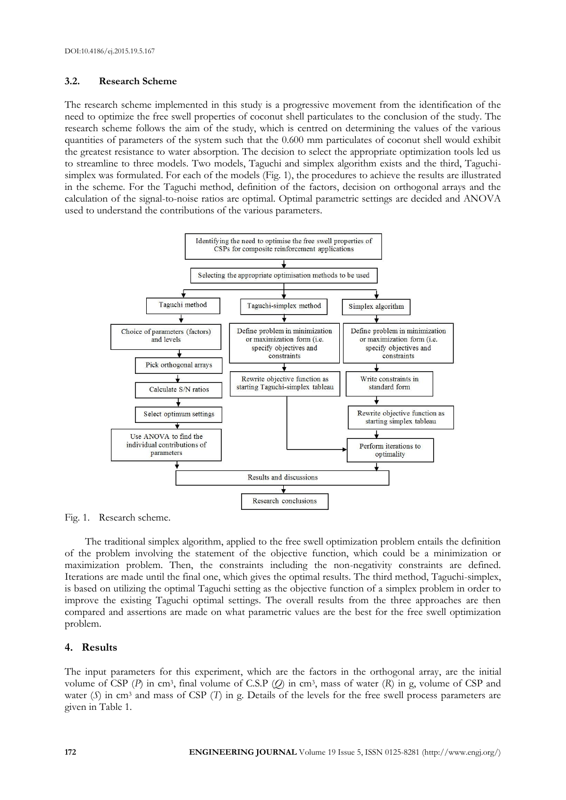# **3.2. Research Scheme**

The research scheme implemented in this study is a progressive movement from the identification of the need to optimize the free swell properties of coconut shell particulates to the conclusion of the study. The research scheme follows the aim of the study, which is centred on determining the values of the various quantities of parameters of the system such that the 0.600 mm particulates of coconut shell would exhibit the greatest resistance to water absorption. The decision to select the appropriate optimization tools led us to streamline to three models. Two models, Taguchi and simplex algorithm exists and the third, Taguchisimplex was formulated. For each of the models (Fig. 1), the procedures to achieve the results are illustrated in the scheme. For the Taguchi method, definition of the factors, decision on orthogonal arrays and the calculation of the signal-to-noise ratios are optimal. Optimal parametric settings are decided and ANOVA used to understand the contributions of the various parameters.



Fig. 1. Research scheme.

The traditional simplex algorithm, applied to the free swell optimization problem entails the definition of the problem involving the statement of the objective function, which could be a minimization or maximization problem. Then, the constraints including the non-negativity constraints are defined. Iterations are made until the final one, which gives the optimal results. The third method, Taguchi-simplex, is based on utilizing the optimal Taguchi setting as the objective function of a simplex problem in order to improve the existing Taguchi optimal settings. The overall results from the three approaches are then compared and assertions are made on what parametric values are the best for the free swell optimization problem.

# **4. Results**

The input parameters for this experiment, which are the factors in the orthogonal array, are the initial volume of CSP (*P*) in cm<sup>3</sup>, final volume of C.S.P (*Q*) in cm<sup>3</sup>, mass of water (*R*) in g, volume of CSP and water (*S*) in cm<sup>3</sup> and mass of CSP (*T*) in g. Details of the levels for the free swell process parameters are given in Table 1.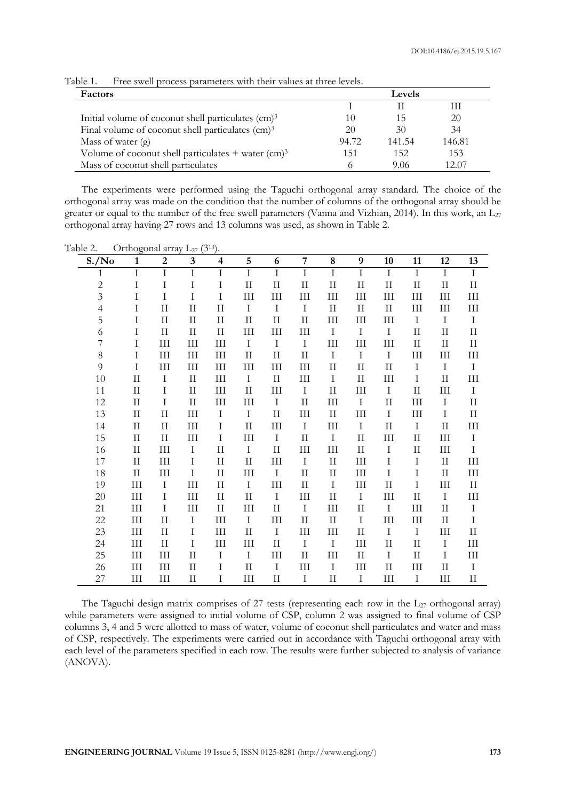| Factors                                                          | Levels |        |        |  |  |  |  |
|------------------------------------------------------------------|--------|--------|--------|--|--|--|--|
|                                                                  |        |        |        |  |  |  |  |
| Initial volume of coconut shell particulates (cm) <sup>3</sup>   | 10     | 15     | 20     |  |  |  |  |
| Final volume of coconut shell particulates (cm) <sup>3</sup>     | 20     | 30     | 34     |  |  |  |  |
| Mass of water $(g)$                                              | 94.72  | 141.54 | 146.81 |  |  |  |  |
| Volume of coconut shell particulates $+$ water (cm) <sup>3</sup> | 151    | 152    | 153    |  |  |  |  |
| Mass of coconut shell particulates                               |        | 9.06   | 12.07  |  |  |  |  |

Table 1. Free swell process parameters with their values at three levels.

The experiments were performed using the Taguchi orthogonal array standard. The choice of the orthogonal array was made on the condition that the number of columns of the orthogonal array should be greater or equal to the number of the free swell parameters (Vanna and Vizhian, 2014). In this work, an  $L_{27}$ orthogonal array having 27 rows and 13 columns was used, as shown in Table 2.

Table 2. Orthogonal array  $\mathcal{L}_{27}$  (3<sup>13</sup>).

| S./No          | $\mathbf{1}$       | $\boldsymbol{2}$ | 3                  | 4            | 5                  | 6            | $\overline{7}$ | 8           | 9                           | 10           | 11                     | 12           | 13                 |
|----------------|--------------------|------------------|--------------------|--------------|--------------------|--------------|----------------|-------------|-----------------------------|--------------|------------------------|--------------|--------------------|
| 1              | $\rm I$            | $\bf I$          | $\rm I$            | I            | $\rm I$            | $\rm I$      | $\rm I$        | $\rm I$     | $\rm I$                     | $\rm I$      | $\rm I$                | $\rm I$      | $\rm I$            |
| $\overline{c}$ | I                  | I                | I                  | I            | $\rm II$           | $\rm II$     | $\rm II$       | $\rm II$    | $\rm II$                    | $\rm II$     | $\mathop{\mathrm{II}}$ | $\mathbf{I}$ | $\rm II$           |
| $\overline{3}$ | I                  | $\rm I$          | I                  | $\rm I$      | III                | III          | III            | III         | III                         | $\rm III$    | III                    | $\rm III$    | $\rm III$          |
| $\overline{4}$ | I                  | $\rm II$         | $\rm II$           | $\mathbf{I}$ | $\mathbf I$        | $\mathbf I$  | $\mathbf I$    | $\rm II$    | $\rm II$                    | $\rm II$     | $\rm III$              | III          | Ш                  |
| 5              | I                  | $\rm II$         | $\rm II$           | $\rm II$     | $\rm II$           | $\rm II$     | $\rm II$       | $\rm III$   | $\rm III$                   | $\rm III$    | I                      | $\rm I$      | $\rm I$            |
| 6              | I                  | $\rm II$         | $\rm II$           | $\rm II$     | $\rm III$          | $\rm III$    | $\rm III$      | $\rm I$     | $\rm I$                     | $\rm I$      | $\rm II$               | $\rm II$     | $\rm II$           |
| 7              | I                  | $\rm III$        | $\rm III$          | III          | $\mathbf I$        | I            | $\mathbf I$    | $\rm III$   | $\rm III$                   | III          | $\rm II$               | $\mathbf{I}$ | $\rm II$           |
| $8\,$          | $\rm I$            | $\rm III$        | $\rm III$          | $\rm III$    | $\rm II$           | $\mathbf{I}$ | $\rm II$       | $\bf I$     | $\bf I$                     | $\rm I$      | $\rm III$              | $\rm III$    | Ш                  |
| $\overline{9}$ | I                  | $\rm III$        | Ш                  | $\rm III$    | $\rm III$          | $\rm III$    | $\rm III$      | $\rm II$    | $\rm II$                    | $\rm II$     | I                      | $\rm I$      | $\bf I$            |
| 10             | $\rm II$           | I                | $\rm II$           | $\rm III$    | $\mathbf I$        | $\mathbf{I}$ | $\rm III$      | $\bf I$     | $\rm II$                    | III          | I                      | $\rm II$     | Ш                  |
| 11             | $\rm II$           | $\rm I$          | $\rm II$           | III          | $\rm II$           | III          | $\rm I$        | $\rm II$    | $\mathop{\rm III}\nolimits$ | $\rm I$      | $\mathop{\mathrm{II}}$ | $\rm III$    | $\rm I$            |
| 12             | $\rm II$           | $\rm I$          | $\rm II$           | III          | III                | $\mathbf I$  | $\rm II$       | $\rm III$   | $\mathbf I$                 | $\rm II$     | III                    | $\rm I$      | $\rm II$           |
| 13             | $\rm II$           | $\rm II$         | $\rm III$          | I            | $\rm I$            | $\rm II$     | III            | $\rm II$    | $\rm III$                   | $\rm I$      | III                    | $\rm I$      | $\rm II$           |
| 14             | $\rm II$           | $\mathbf{I}$     | $\rm III$          | $\rm I$      | $\rm II$           | $\rm III$    | $\rm I$        | $\rm III$   | $\rm I$                     | $\rm II$     | $\rm I$                | $\mathbf{I}$ | Ш                  |
| 15             | $\rm II$           | $\rm II$         | $\mathop{\rm III}$ | Ι            | III                | $\mathbf I$  | $\rm II$       | $\mathbf I$ | $\rm II$                    | III          | $\rm II$               | III          | $\rm I$            |
| 16             | $\rm II$           | III              | I                  | $\rm II$     | $\rm I$            | $\rm II$     | III            | III         | $\rm II$                    | $\rm I$      | $\mathbf{I}$           | $\rm III$    | $\rm I$            |
| $17\,$         | $\rm II$           | $\rm III$        | $\rm I$            | $\rm II$     | $\rm II$           | $\rm III$    | $\rm I$        | $\rm II$    | $\rm III$                   | $\rm I$      | $\rm I$                | $\rm II$     | $\rm III$          |
| 18             | $\mathbf{I}$       | III              | $\rm I$            | $\rm II$     | III                | $\mathbf I$  | $\rm II$       | $\rm II$    | $\rm III$                   | $\rm I$      | I                      | $\mathbf{I}$ | $\rm III$          |
| 19             | III                | $\mathbf I$      | $\rm III$          | $\rm II$     | $\mathbf I$        | $\rm III$    | $\rm II$       | $\mathbf I$ | $\rm III$                   | $\mathbf{I}$ | I                      | $\rm III$    | $\rm II$           |
| 20             | $\rm III$          | $\rm I$          | $\rm III$          | $\rm II$     | $\rm II$           | $\rm I$      | $\rm III$      | $\rm II$    | $\rm I$                     | $\rm III$    | $\rm II$               | $\rm I$      | $\rm III$          |
| 21             | $\mathop{\rm III}$ | $\mathbf I$      | III                | $\rm II$     | $\mathop{\rm III}$ | $\rm II$     | $\bf I$        | III         | $\rm II$                    | $\rm I$      | $\rm III$              | $\mathbf{I}$ | $\rm I$            |
| 22             | III                | $\rm II$         | I                  | III          | $\rm I$            | III          | $\rm II$       | $\rm II$    | $\mathbf I$                 | III          | III                    | $\rm II$     | $\rm I$            |
| 23             | $\rm III$          | $\rm II$         | $\rm I$            | $\rm III$    | $\rm II$           | $\mathbf I$  | III            | $\rm III$   | $\rm II$                    | $\rm I$      | $\mathbf I$            | $\rm III$    | $\rm II$           |
| 24             | $\mathop{\rm III}$ | $\mathbf{I}$     | I                  | III          | III                | $\rm II$     | $\rm I$        | $\rm I$     | $\mathop{\rm III}\nolimits$ | $\rm II$     | $\rm II$               | I            | $\mathop{\rm III}$ |
| 25             | III                | $\rm III$        | $\rm II$           | $\rm I$      | $\rm I$            | $\rm III$    | $\rm II$       | $\rm III$   | $\rm II$                    | $\rm I$      | $\mathop{\mathrm{II}}$ | $\rm I$      | $\rm III$          |
| 26             | III                | III              | $\rm II$           | Ι            | $\rm II$           | $\mathbf I$  | $\rm III$      | $\mathbf I$ | III                         | $\rm II$     | $\mathop{\rm III}$     | $\mathbf{I}$ | I                  |
| 27             | $\rm III$          | III              | $\rm II$           | I            | III                | $\rm II$     | $\rm I$        | $\rm II$    | I                           | III          | I                      | $\rm III$    | $\prod$            |

The Taguchi design matrix comprises of 27 tests (representing each row in the  $L_{27}$  orthogonal array) while parameters were assigned to initial volume of CSP, column 2 was assigned to final volume of CSP columns 3, 4 and 5 were allotted to mass of water, volume of coconut shell particulates and water and mass of CSP, respectively. The experiments were carried out in accordance with Taguchi orthogonal array with each level of the parameters specified in each row. The results were further subjected to analysis of variance (ANOVA).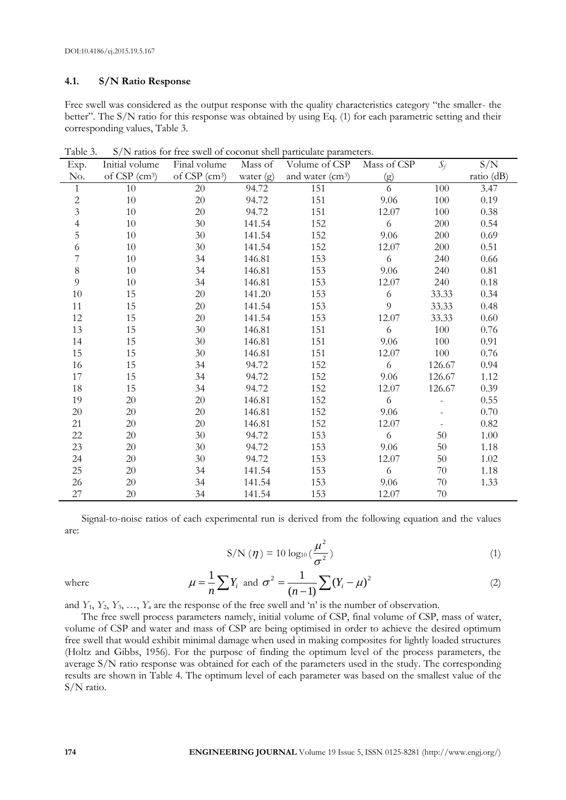# **4.1. S/N Ratio Response**

Free swell was considered as the output response with the quality characteristics category "the smaller- the better". The S/N ratio for this response was obtained by using Eq. (1) for each parametric setting and their corresponding values, Table 3.

| Exp.           | Initial volume            | Final volume                | Mass of     | Volume of CSP                | Mass of CSP | $S_f$   | S/N        |
|----------------|---------------------------|-----------------------------|-------------|------------------------------|-------------|---------|------------|
| No.            | of CSP (cm <sup>3</sup> ) | of $CSP$ (cm <sup>3</sup> ) | water $(g)$ | and water (cm <sup>3</sup> ) | (g)         |         | ratio (dB) |
| $\mathbf{1}$   | 10                        | 20                          | 94.72       | 151                          | 6           | 100     | 3.47       |
| $\sqrt{2}$     | 10                        | 20                          | 94.72       | 151                          | 9.06        | 100     | 0.19       |
| $\mathfrak{Z}$ | $10\,$                    | 20                          | 94.72       | 151                          | 12.07       | 100     | 0.38       |
| $\overline{4}$ | 10                        | 30 <sup>°</sup>             | 141.54      | 152                          | 6           | 200     | 0.54       |
| 5              | 10                        | 30                          | 141.54      | 152                          | 9.06        | 200     | 0.69       |
| 6              | 10                        | $30\,$                      | 141.54      | 152                          | 12.07       | $200\,$ | 0.51       |
| 7              | 10                        | 34                          | 146.81      | 153                          | 6           | 240     | 0.66       |
| $8\,$          | 10                        | 34                          | 146.81      | 153                          | 9.06        | 240     | 0.81       |
| 9              | $10\,$                    | 34                          | 146.81      | 153                          | 12.07       | 240     | 0.18       |
| 10             | 15                        | $20\,$                      | 141.20      | 153                          | 6           | 33.33   | 0.34       |
| 11             | 15                        | 20                          | 141.54      | 153                          | 9           | 33.33   | 0.48       |
| 12             | 15                        | $20\,$                      | 141.54      | 153                          | 12.07       | 33.33   | 0.60       |
| 13             | 15                        | 30                          | 146.81      | 151                          | 6           | 100     | 0.76       |
| 14             | 15                        | 30                          | 146.81      | 151                          | 9.06        | 100     | 0.91       |
| 15             | 15                        | 30                          | 146.81      | 151                          | 12.07       | 100     | 0.76       |
| 16             | 15                        | 34                          | 94.72       | 152                          | 6           | 126.67  | 0.94       |
| 17             | 15                        | 34                          | 94.72       | 152                          | 9.06        | 126.67  | 1.12       |
| 18             | 15                        | 34                          | 94.72       | 152                          | 12.07       | 126.67  | 0.39       |
| 19             | 20                        | $20\,$                      | 146.81      | 152                          | 6           |         | 0.55       |
| $20\,$         | 20                        | 20                          | 146.81      | 152                          | 9.06        |         | 0.70       |
| 21             | 20                        | 20                          | 146.81      | 152                          | 12.07       |         | 0.82       |
| 22             | 20                        | 30                          | 94.72       | 153                          | 6           | 50      | 1.00       |
| 23             | 20                        | 30                          | 94.72       | 153                          | 9.06        | 50      | 1.18       |
| 24             | 20                        | 30                          | 94.72       | 153                          | 12.07       | 50      | 1.02       |
| 25             | 20                        | 34                          | 141.54      | 153                          | 6           | 70      | 1.18       |
| 26             | 20                        | 34                          | 141.54      | 153                          | 9.06        | 70      | 1.33       |
| 27             | 20                        | 34                          | 141.54      | 153                          | 12.07       | 70      |            |

Table 3. S/N ratios for free swell of coconut shell particulate parameters.

Signal-to-noise ratios of each experimental run is derived from the following equation and the values are:

$$
S/N(\eta) = 10 \log_{10} \left(\frac{\mu^2}{\sigma^2}\right) \tag{1}
$$

where

$$
\mu = \frac{1}{n} \sum Y_i \text{ and } \sigma^2 = \frac{1}{(n-1)} \sum (Y_i - \mu)^2
$$
 (2)

and  $Y_1, Y_2, Y_3, \ldots, Y_n$  are the response of the free swell and 'n' is the number of observation.

The free swell process parameters namely, initial volume of CSP, final volume of CSP, mass of water, volume of CSP and water and mass of CSP are being optimised in order to achieve the desired optimum free swell that would exhibit minimal damage when used in making composites for lightly loaded structures (Holtz and Gibbs, 1956). For the purpose of finding the optimum level of the process parameters, the average S/N ratio response was obtained for each of the parameters used in the study. The corresponding results are shown in Table 4. The optimum level of each parameter was based on the smallest value of the S/N ratio.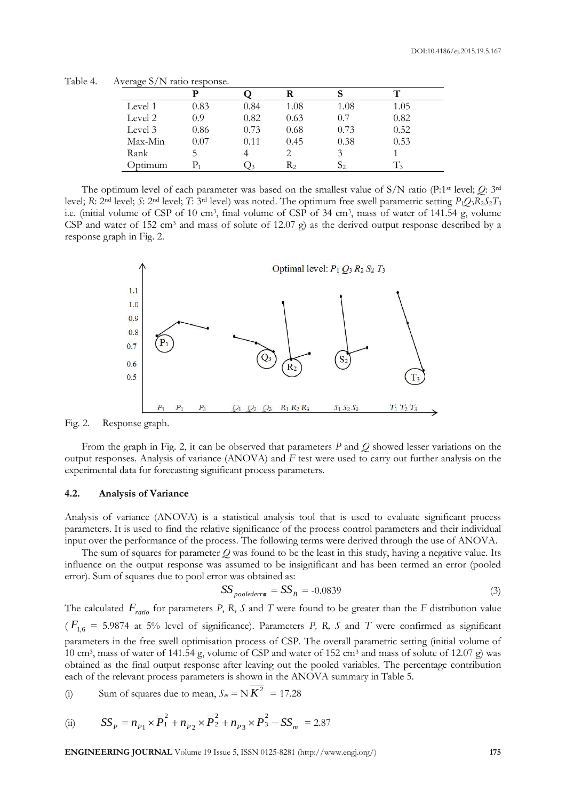Table 4. Average S/N ratio response.

| $\tilde{}$   |          |      |         |      | ᠇᠇    |
|--------------|----------|------|---------|------|-------|
| Level 1      | 0.83     | 0.84 | 1.08    | 1.08 | 1.05  |
| Level 2      | 0.9      | 0.82 | 0.63    | 0.7  | 0.82  |
| Level 3      | 0.86     | 0.73 | 0.68    | 0.73 | 0.52  |
| Max-Min      | $0.07\,$ | 0.11 | 0.45    | 0.38 | 0.53  |
| Rank         | C.       |      |         | 3    |       |
| .<br>Jotimum |          |      | $R_{2}$ | D2   | $T_3$ |

The optimum level of each parameter was based on the smallest value of S/N ratio (P:1st level; *Q*: 3rd level; *R*: 2nd level; *S*: 2nd level; *T*: 3rd level) was noted. The optimum free swell parametric setting *P*1*Q*3*R*2*S*2*T*<sup>3</sup> i.e. (initial volume of CSP of 10 cm<sup>3</sup> , final volume of CSP of 34 cm<sup>3</sup> , mass of water of 141.54 g, volume CSP and water of 152 cm<sup>3</sup> and mass of solute of 12.07 g) as the derived output response described by a response graph in Fig. 2.



Fig. 2. Response graph.

From the graph in Fig. 2, it can be observed that parameters *P* and *Q* showed lesser variations on the output responses. Analysis of variance (ANOVA) and *F* test were used to carry out further analysis on the experimental data for forecasting significant process parameters.

#### **4.2. Analysis of Variance**

Analysis of variance (ANOVA) is a statistical analysis tool that is used to evaluate significant process parameters. It is used to find the relative significance of the process control parameters and their individual input over the performance of the process. The following terms were derived through the use of ANOVA.

The sum of squares for parameter *Q* was found to be the least in this study, having a negative value. Its influence on the output response was assumed to be insignificant and has been termed an error (pooled error). Sum of squares due to pool error was obtained as:

$$
SS_{poolederr\sigma} = SS_B = -0.0839\tag{3}
$$

The calculated *Fratio* for parameters *P*, *R*, *S* and *T* were found to be greater than the *F* distribution value  $(F_{1,6} = 5.9874$  at 5% level of significance). Parameters *P*, *R*, *S* and *T* were confirmed as significant parameters in the free swell optimisation process of CSP. The overall parametric setting (initial volume of 10 cm<sup>3</sup>, mass of water of 141.54 g, volume of CSP and water of 152 cm<sup>3</sup> and mass of solute of 12.07 g) was obtained as the final output response after leaving out the pooled variables. The percentage contribution each of the relevant process parameters is shown in the ANOVA summary in Table 5.

(i) Sum of squares due to mean, 
$$
S_m = N K^2 = 17.28
$$

(ii) 
$$
SS_p = n_{p_1} \times \overline{P}_1^2 + n_{p_2} \times \overline{P}_2^2 + n_{p_3} \times \overline{P}_3^2 - SS_m = 2.87
$$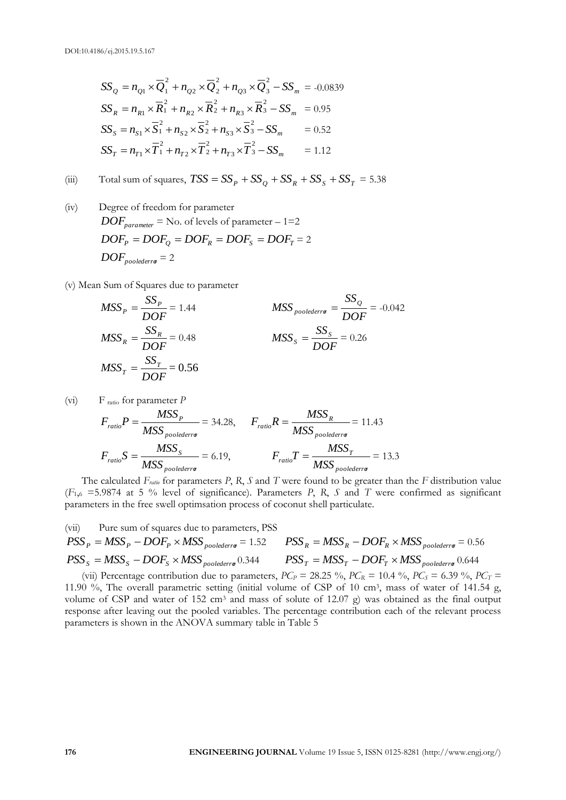$$
SS_{Q} = n_{Q1} \times \overline{Q}_{1}^{2} + n_{Q2} \times \overline{Q}_{2}^{2} + n_{Q3} \times \overline{Q}_{3}^{2} - SS_{m} = -0.0839
$$
  
\n
$$
SS_{R} = n_{R1} \times \overline{R}_{1}^{2} + n_{R2} \times \overline{R}_{2}^{2} + n_{R3} \times \overline{R}_{3}^{2} - SS_{m} = 0.95
$$
  
\n
$$
SS_{S} = n_{S1} \times \overline{S}_{1}^{2} + n_{S2} \times \overline{S}_{2}^{2} + n_{S3} \times \overline{S}_{3}^{2} - SS_{m} = 0.52
$$
  
\n
$$
SS_{T} = n_{T1} \times \overline{T}_{1}^{2} + n_{T2} \times \overline{T}_{2}^{2} + n_{T3} \times \overline{T}_{3}^{2} - SS_{m} = 1.12
$$

(iii) Total sum of squares,  $TSS = SS_P + SS_Q + SS_R + SS_S + SS_T = 5.38$ 

(iv) Degree of freedom for parameter  $DOF_{\textit{parameter}} = \text{No. of levels of parameter} - 1 = 2$  $DOF_p = DOF_q = DOF_R = DOF_S = DOF_T = 2$  $DOF_{poolederr\sigma} = 2$ 

(v) Mean Sum of Squares due to parameter

$$
MSS_P = \frac{SS_P}{DOF} = 1.44
$$
  
\n
$$
MSS_{\text{no} \text{led}} = \frac{SS_Q}{DOF} = -0.042
$$
  
\n
$$
MSS_R = \frac{SS_R}{DOF} = 0.48
$$
  
\n
$$
MSS_S = \frac{SS_S}{DOF} = 0.26
$$
  
\n
$$
MSS_T = \frac{SS_T}{DOF} = 0.56
$$

$$
(vi) \tFratio for parameter P
$$

$$
F_{ratio}P = \frac{MSS_P}{MSS_{poolederror}} = 34.28, \qquad F_{ratio}R = \frac{MSS_R}{MSS_{poolederror}} = 11.43
$$

$$
F_{ratio}S = \frac{MSS_S}{MSS_{poolederror}} = 6.19, \qquad F_{ratio}T = \frac{MSS_T}{MSS_{poolederror}} = 13.3
$$

The calculated *Fratio* for parameters *P*, *R*, *S* and *T* were found to be greater than the *F* distribution value (*F*1,<sup>6</sup> =5.9874 at 5 % level of significance). Parameters *P*, *R*, *S* and *T* were confirmed as significant parameters in the free swell optimsation process of coconut shell particulate.

(vii) Pure sum of squares due to parameters, PSS  
\n
$$
PSS_P = MSS_P - DOF_P \times MSS_{poolederr\sigma} = 1.52
$$
\n
$$
PSS_R = MSS_R - DOF_R \times MSS_{poolederr\sigma} = 0.56
$$
\n
$$
PSS_S = MSS_S - DOF_S \times MSS_{poolederr\sigma} = 0.344
$$
\n
$$
PSS_T = MSS_T - DOF_T \times MSS_{poolederr\sigma} = 0.644
$$

(vii) Percentage contribution due to parameters,  $PC_P = 28.25 \%$ ,  $PC_R = 10.4 \%$ ,  $PC_S = 6.39 \%$ ,  $PC_T =$ 11.90 %, The overall parametric setting (initial volume of CSP of 10 cm<sup>3</sup> , mass of water of 141.54 g, volume of CSP and water of 152 cm<sup>3</sup> and mass of solute of 12.07 g) was obtained as the final output response after leaving out the pooled variables. The percentage contribution each of the relevant process parameters is shown in the ANOVA summary table in Table 5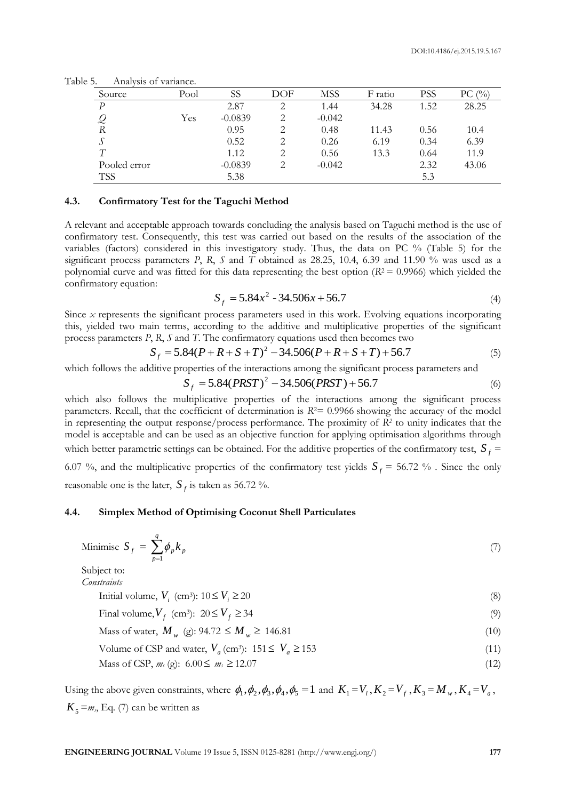| Source       | Pool | SS        | DOF | <b>MSS</b> | F ratio | PSS  | $\binom{0}{0}$<br>PС |
|--------------|------|-----------|-----|------------|---------|------|----------------------|
| P            |      | 2.87      | 2   | 1.44       | 34.28   | 1.52 | 28.25                |
|              | Yes  | $-0.0839$ | 2   | $-0.042$   |         |      |                      |
| R            |      | 0.95      | 2   | 0.48       | 11.43   | 0.56 | 10.4                 |
|              |      | 0.52      | 2   | 0.26       | 6.19    | 0.34 | 6.39                 |
| T            |      | 1.12      | 2   | 0.56       | 13.3    | 0.64 | 11.9                 |
| Pooled error |      | $-0.0839$ | 2   | $-0.042$   |         | 2.32 | 43.06                |
| <b>TSS</b>   |      | 5.38      |     |            |         | 5.3  |                      |

Table 5. Analysis of variance.

# **4.3. Confirmatory Test for the Taguchi Method**

A relevant and acceptable approach towards concluding the analysis based on Taguchi method is the use of confirmatory test. Consequently, this test was carried out based on the results of the association of the variables (factors) considered in this investigatory study. Thus, the data on PC % (Table 5) for the significant process parameters *P*, *R*, *S* and *T* obtained as 28.25, 10.4, 6.39 and 11.90 % was used as a polynomial curve and was fitted for this data representing the best option  $(R^2 = 0.9966)$  which yielded the confirmatory equation:

$$
S_f = 5.84x^2 - 34.506x + 56.7
$$
\n(4)

Since *x* represents the significant process parameters used in this work. Evolving equations incorporating this, yielded two main terms, according to the additive and multiplicative properties of the significant process parameters *P*, *R*, *S* and *T*. The confirmatory equations used then becomes two

$$
S_f = 5.84(P + R + S + T)^2 - 34.506(P + R + S + T) + 56.7
$$
\n(5)

which follows the additive properties of the interactions among the significant process parameters and

$$
S_f = 5.84(PRST)^2 - 34.506(PRST) + 56.7
$$
\n(6)

which also follows the multiplicative properties of the interactions among the significant process parameters. Recall, that the coefficient of determination is  $R<sup>2</sup>=0.9966$  showing the accuracy of the model in representing the output response/process performance. The proximity of *R<sup>2</sup>* to unity indicates that the model is acceptable and can be used as an objective function for applying optimisation algorithms through which better parametric settings can be obtained. For the additive properties of the confirmatory test,  $S_f$  =

6.07 %, and the multiplicative properties of the confirmatory test yields  $S_f = 56.72$  %. Since the only reasonable one is the later,  $S_f$  is taken as 56.72 %.

#### **4.4. Simplex Method of Optimising Coconut Shell Particulates**

Minimise 
$$
S_f = \sum_{p=1}^{q} \phi_p k_p \tag{7}
$$

Subject to: *Constraints*

> Initial volume,  $V_i$  (cm<sup>3</sup>):  $10 \le V_i \ge$  $20$  (8)

> Final volume,  $V_f$  (cm<sup>3</sup>):  $20 \le V_f \ge$  $34$  (9)

> Mass of water,  $M_w$  (g):  $94.72 \le M_w \ge 146.81$  (10)

Volume of CSP and water,  $V_a$  (cm<sup>3</sup>): 151  $\leq V_a \geq$ 153 (11)

Mass of CSP,  $m_s$  (g):  $6.00 \le m_s \ge$ 12.07 (12)

Using the above given constraints, where  $\phi_1, \phi_2, \phi_3, \phi_4, \phi_5 = 1$  and  $K_1 = V_i$ ,  $K_2 = V_f$ ,  $K_3 = M_w$ ,  $K_4 = V_a$ ,  $K_5 = m_s$ , Eq. (7) can be written as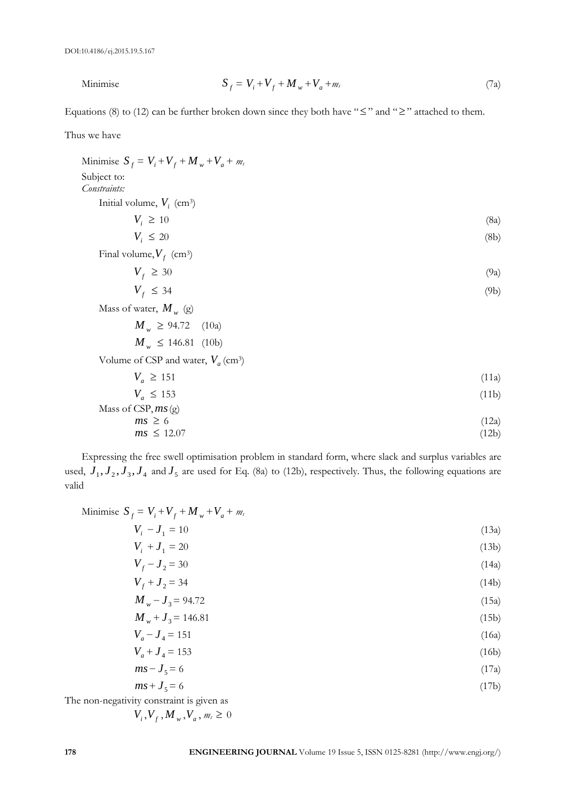Minimise

$$
S_f = V_i + V_f + M_w + V_a + m_s \tag{7a}
$$

Equations (8) to (12) can be further broken down since they both have " $\leq$ " and " $\geq$ " attached to them.

Thus we have

| Minimise $S_f = V_i + V_f + M_w + V_a + m_s$      |       |
|---------------------------------------------------|-------|
| Subject to:                                       |       |
| Constraints:                                      |       |
| Initial volume, $V_i$ (cm <sup>3</sup> )          |       |
| $V_i \geq 10$                                     | (8a)  |
| $V_i \leq 20$                                     | (8b)  |
| Final volume, $V_f$ (cm <sup>3</sup> )            |       |
| $V_f \geq 30$                                     | (9a)  |
| $V_f \leq 34$                                     | (9b)  |
| Mass of water, $M_w$ (g)                          |       |
| $M_w \ge 94.72$ (10a)                             |       |
| $M_w \leq 146.81$ (10b)                           |       |
| Volume of CSP and water, $V_a$ (cm <sup>3</sup> ) |       |
| $V_a \ge 151$                                     | (11a) |
| $V_a \le 153$                                     | (11b) |
| Mass of CSP, $ms(g)$                              |       |

$$
ms \geq 6 \tag{12a}
$$
\n
$$
ms \leq 12.07 \tag{12b}
$$

Expressing the free swell optimisation problem in standard form, where slack and surplus variables are used,  $J_1, J_2, J_3, J_4$  and  $J_5$  are used for Eq. (8a) to (12b), respectively. Thus, the following equations are valid

| Minimise $S_f = V_i + V_f + M_w + V_a + m_s$ |       |
|----------------------------------------------|-------|
| $V_i - J_1 = 10$                             | (13a) |
| $V_i + J_1 = 20$                             | (13b) |
|                                              |       |

$$
V_f - J_2 = 30\tag{14a}
$$

$$
V_f + J_2 = 34
$$
\n
$$
M_w - J_3 = 94.72
$$
\n(14b)\n(15a)

$$
M_w + J_3 = 146.81\tag{15b}
$$

$$
V_a - J_4 = 151\tag{16a}
$$

$$
V_a + J_4 = 153 \tag{16b}
$$

$$
ms - J_5 = 6 \tag{17a}
$$

$$
ms + J5 = 6
$$
 (17b)  
The non-negativity constraint is given as

$$
V_i, V_f, M_w, V_a, m_s \geq 0
$$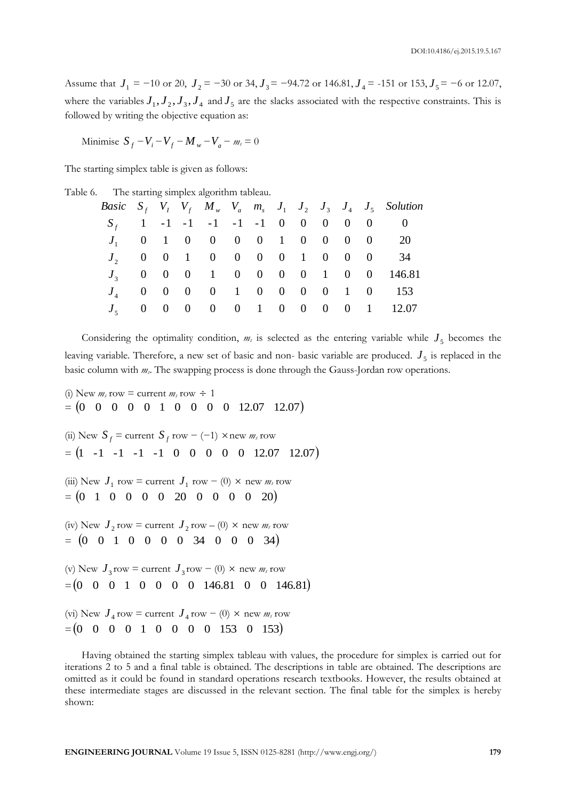Assume that  $J_1 = -10$  or 20,  $J_2 = -30$  or 34,  $J_3 = -94.72$  or 146.81,  $J_4 = -151$  or 153,  $J_5 = -6$  or 12.07, where the variables  $J_1, J_2, J_3, J_4$  and  $J_5$  are the slacks associated with the respective constraints. This is followed by writing the objective equation as:

*M*inimise  $S_f - V_i - V_f - M_w - V_a - m_s = 0$ 

The starting simplex table is given as follows:

| Table 6. |  | The starting simplex algorithm tableau. |  |
|----------|--|-----------------------------------------|--|
|          |  |                                         |  |

|  |  |  |  |  |  | Basic $S_f$ $V_I$ $V_f$ $M_w$ $V_a$ $m_s$ $J_1$ $J_2$ $J_3$ $J_4$ $J_5$ Solution |
|--|--|--|--|--|--|----------------------------------------------------------------------------------|
|  |  |  |  |  |  | $S_f$ 1 -1 -1 -1 -1 -1 0 0 0 0 0 0                                               |
|  |  |  |  |  |  | $J_1$ 0 1 0 0 0 0 1 0 0 0 0 20                                                   |
|  |  |  |  |  |  | $J_2$ 0 0 1 0 0 0 0 1 0 0 0 34                                                   |
|  |  |  |  |  |  | $J_3$ 0 0 0 1 0 0 0 0 1 0 0 146.81                                               |
|  |  |  |  |  |  | $J_4$ 0 0 0 0 1 0 0 0 0 1 0 153                                                  |
|  |  |  |  |  |  | $J_5$ 0 0 0 0 0 1 0 0 0 0 1 12.07                                                |
|  |  |  |  |  |  |                                                                                  |

Considering the optimality condition,  $m_s$  is selected as the entering variable while  $J_5$  becomes the leaving variable. Therefore, a new set of basic and non- basic variable are produced.  $J_5$  is replaced in the basic column with *ms*. The swapping process is done through the Gauss-Jordan row operations.

(i) New  $m_s$  row = current  $m_s$  row  $\div$  1  $=$   $(0 \t0 \t0 \t0 \t0 \t1 \t0 \t0 \t0 \t12.07 \t12.07)$ (ii) New  $S_f$  = current  $S_f$  row  $-$  (-1)  $\times$  new  $m_s$  row  $=$   $(1 \t -1 \t -1 \t -1 \t -1 \t 0 \t 0 \t 0 \t 0 \t 0 \t 12.07 \t 12.07)$ (iii) New  $J_1$  row = current  $J_1$  row – (0) × new  $m_s$  row  $= (0 \ 1 \ 0 \ 0 \ 0 \ 0 \ 20 \ 0 \ 0 \ 0 \ 0 \ 20)$ (iv) New  $J_2$  row = current  $J_2$  row – (0) × new  $m_s$  row  $=$   $(0 \t0 \t1 \t0 \t0 \t0 \t0 \t34 \t0 \t0 \t0 \t34)$ (v) New  $J_3$  row = current  $J_3$  row – (0) × new  $m_s$  row  $=(0 \ 0 \ 0 \ 1 \ 0 \ 0 \ 0 \ 0 \ 146.81 \ 0 \ 0 \ 146.81)$ (vi) New  $J_4$  row = current  $J_4$  row – (0) × new  $m_s$  row  $=(0 \ 0 \ 0 \ 0 \ 1 \ 0 \ 0 \ 0 \ 0 \ 153 \ 0 \ 153)$ 

Having obtained the starting simplex tableau with values, the procedure for simplex is carried out for iterations 2 to 5 and a final table is obtained. The descriptions in table are obtained. The descriptions are omitted as it could be found in standard operations research textbooks. However, the results obtained at these intermediate stages are discussed in the relevant section. The final table for the simplex is hereby shown: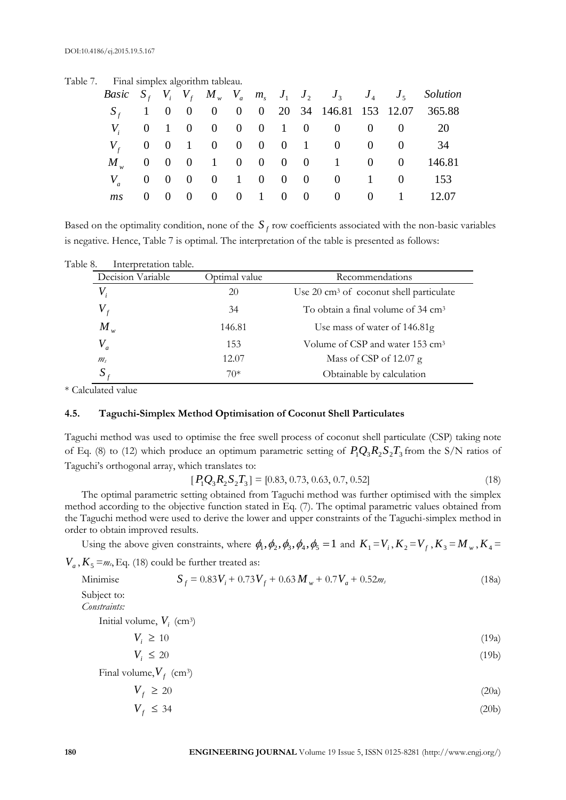| $\ldots$ and simples argument tableau. |  |  |  |  |                                  |  |                                                                                         |
|----------------------------------------|--|--|--|--|----------------------------------|--|-----------------------------------------------------------------------------------------|
|                                        |  |  |  |  |                                  |  | <i>Basic</i> $S_f$ $V_i$ $V_f$ $M_w$ $V_a$ $m_s$ $J_1$ $J_2$ $J_3$ $J_4$ $J_5$ Solution |
|                                        |  |  |  |  |                                  |  | $S_f$ 1 0 0 0 0 0 20 34 146.81 153 12.07 365.88                                         |
|                                        |  |  |  |  | $V_i$ 0 1 0 0 0 0 1 0 0 0 0 0 20 |  |                                                                                         |
|                                        |  |  |  |  | $V_f$ 0 0 1 0 0 0 0 1 0 0 0 0    |  | 34                                                                                      |
|                                        |  |  |  |  |                                  |  | $M_{w}$ 0 0 0 1 0 0 0 0 1 0 0 1 46.81                                                   |
|                                        |  |  |  |  | $V_a$ 0 0 0 0 1 0 0 0 0 1 0 153  |  |                                                                                         |
|                                        |  |  |  |  |                                  |  | ms 0 0 0 0 0 1 0 0 0 0 0 1 12.07                                                        |
|                                        |  |  |  |  |                                  |  |                                                                                         |

Table 7. Final simplex algorithm tableau.

Based on the optimality condition, none of the  $S_f$  row coefficients associated with the non-basic variables is negative. Hence, Table 7 is optimal. The interpretation of the table is presented as follows:

| Table 8. | Interpretation table.      |               |                                                    |
|----------|----------------------------|---------------|----------------------------------------------------|
|          | Decision Variable          | Optimal value | Recommendations                                    |
|          | $V_{\scriptscriptstyle i}$ | 20            | Use $20 \text{ cm}^3$ of coconut shell particulate |
|          | $V_{\epsilon}$             | 34            | To obtain a final volume of 34 cm <sup>3</sup>     |
|          | $M_{w}$                    | 146.81        | Use mass of water of 146.81g                       |
|          | $V_a$                      | 153           | Volume of CSP and water 153 cm <sup>3</sup>        |
|          | m <sub>s</sub>             | 12.07         | Mass of CSP of $12.07$ g                           |
|          | $\boldsymbol{S}$           | $70*$         | Obtainable by calculation                          |

\* Calculated value

## **4.5. Taguchi-Simplex Method Optimisation of Coconut Shell Particulates**

Taguchi method was used to optimise the free swell process of coconut shell particulate (CSP) taking note of Eq. (8) to (12) which produce an optimum parametric setting of  $P_1Q_3R_2S_2T_3$  from the S/N ratios of Taguchi's orthogonal array, which translates to:

$$
[P_1Q_3R_2S_2T_3] = [0.83, 0.73, 0.63, 0.7, 0.52]
$$
\n(18)

The optimal parametric setting obtained from Taguchi method was further optimised with the simplex method according to the objective function stated in Eq. (7). The optimal parametric values obtained from the Taguchi method were used to derive the lower and upper constraints of the Taguchi-simplex method in order to obtain improved results.

Using the above given constraints, where  $\phi_1, \phi_2, \phi_3, \phi_4, \phi_5 = 1$  and  $K_1 = V_i$ ,  $K_2 = V_f$ ,  $K_3 = M_w$ ,  $K_4 =$ 

 $V_a$ ,  $K_5 = m_s$ , Eq. (18) could be further treated as:

$$
S_f = 0.83V_i + 0.73V_f + 0.63M_w + 0.7V_a + 0.52m_s
$$
\n(18a)

Subject to: *Constraints:*

Minimise

Initial volume,  $V_i$  (cm<sup>3</sup>)

$$
V_i \ge 10\tag{19a}
$$

$$
V_i \le 20 \tag{19b}
$$

Final volume,  $V_f$  (cm<sup>3</sup>)

$$
V_f \ge 20\tag{20a}
$$

$$
V_f \le 34 \tag{20b}
$$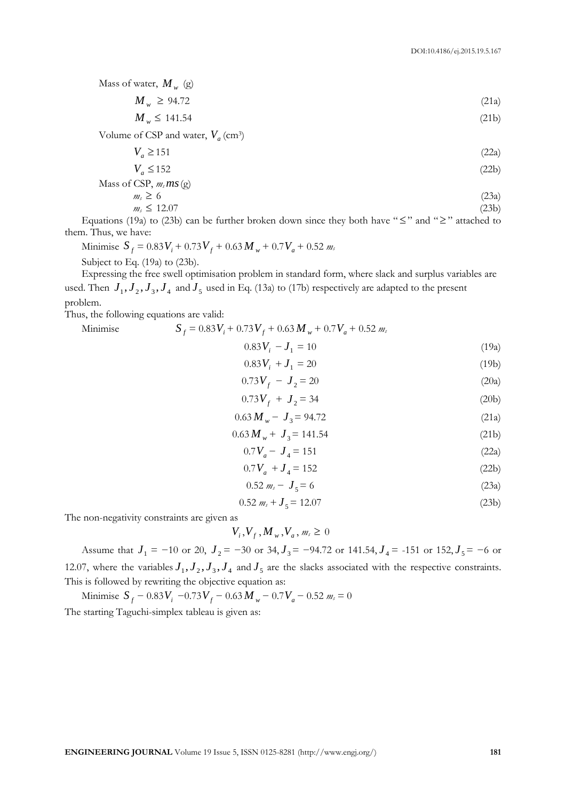Mass of water, *M <sup>w</sup>* (g)

$$
M_w \ge 94.72 \tag{21a}
$$

$$
M_w \le 141.54 \tag{21b}
$$

Volume of CSP and water,  $V_a$  (cm<sup>3</sup>)

$$
V_a \ge 151\tag{22a}
$$

$$
V_a \le 152\tag{22b}
$$

Mass of CSP, 
$$
m_s
$$
*ms* (g)

$$
m_s \ge 6 \tag{23a}
$$
\n
$$
m_s \le 12.07 \tag{23b}
$$

Equations (19a) to (23b) can be further broken down since they both have " $\leq$ " and " $\geq$ " attached to them. Thus, we have:

Minimise  $S_f = 0.83V_i + 0.73V_f + 0.63M_w + 0.7V_a + 0.52m_s$ 

Subject to Eq. (19a) to (23b).

Expressing the free swell optimisation problem in standard form, where slack and surplus variables are used. Then  $J_1, J_2, J_3, J_4$  and  $J_5$  used in Eq. (13a) to (17b) respectively are adapted to the present problem.

Thus, the following equations are valid:

Minimise  $S_f = 0.83V_i + 0.73V_f + 0.63M_w + 0.7V_a + 0.52m_s$  $0.83V_i - J_1 = 10$  (19a)

$$
0.83V_i + J_1 = 20 \tag{19b}
$$

$$
0.73V_f - J_2 = 20\tag{20a}
$$

$$
0.73V_f + J_2 = 34\tag{20b}
$$

$$
0.63 M_w - J_3 = 94.72 \tag{21a}
$$

$$
0.63 M_{w} + J_{3} = 141.54
$$
 (21b)

$$
0.7V_a - J_4 = 151\tag{22a}
$$

$$
0.7V_a + J_4 = 152\tag{22b}
$$

$$
0.52 \, m_s - J_5 = 6 \tag{23a}
$$

$$
0.52\ m_s + J_5 = 12.07\tag{23b}
$$

The non-negativity constraints are given as

$$
V_i, V_f, M_w, V_a, m_s \geq 0
$$

Assume that  $J_1 = -10$  or 20,  $J_2 = -30$  or 34,  $J_3 = -94.72$  or 141.54,  $J_4 = -151$  or  $152$ ,  $J_5 = -6$  or 12.07, where the variables  $J_1, J_2, J_3, J_4$  and  $J_5$  are the slacks associated with the respective constraints. This is followed by rewriting the objective equation as:

Minimise  $S_f - 0.83V_i - 0.73V_f - 0.63M_w - 0.7V_a - 0.52m_s = 0$ The starting Taguchi-simplex tableau is given as: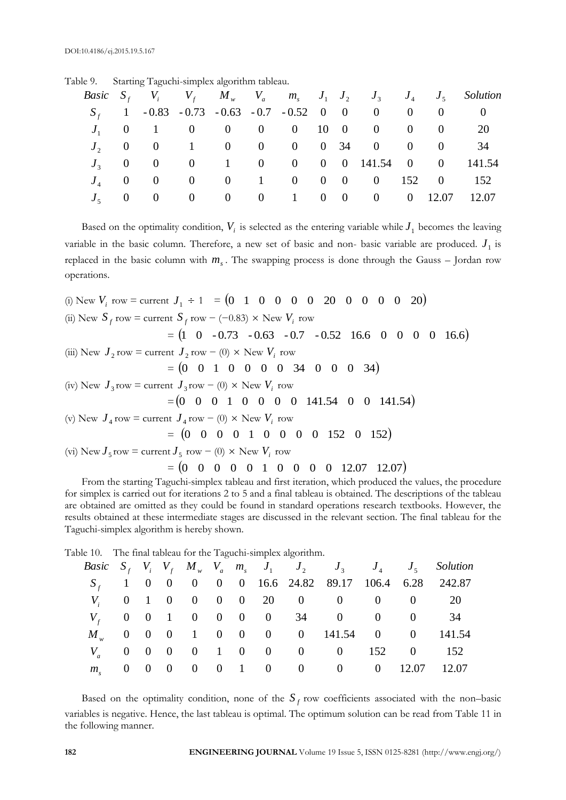|  |  |  |  |  |                                                         |  | <i>Basic</i> $S_f$ $V_i$ $V_f$ $M_w$ $V_a$ $m_s$ $J_1$ $J_2$ $J_3$ $J_4$ $J_5$ Solution |
|--|--|--|--|--|---------------------------------------------------------|--|-----------------------------------------------------------------------------------------|
|  |  |  |  |  | $S_f$ 1 - 0.83 - 0.73 - 0.63 - 0.7 - 0.52 0 0 0 0 0 0 0 |  |                                                                                         |
|  |  |  |  |  | $J_1$ 0 1 0 0 0 0 10 0 0 0 0 20                         |  |                                                                                         |
|  |  |  |  |  | $J_2$ 0 0 1 0 0 0 0 34 0 0 0 34                         |  |                                                                                         |
|  |  |  |  |  |                                                         |  | $J_3$ 0 0 0 1 0 0 0 0 141.54 0 0 141.54                                                 |
|  |  |  |  |  | $J_4$ 0 0 0 0 1 0 0 0 0 152 0 152                       |  |                                                                                         |
|  |  |  |  |  | $J_5$ 0 0 0 0 0 1 0 0 0 0 12.07 12.07                   |  |                                                                                         |

Based on the optimality condition,  $V_i$  is selected as the entering variable while  $J_1$  becomes the leaving variable in the basic column. Therefore, a new set of basic and non- basic variable are produced.  $J_1$  is replaced in the basic column with *ms* . The swapping process is done through the Gauss – Jordan row operations.

(i) New *Vi* row = current 1 *J* 1 = 0 1 0 0 0 0 20 0 0 0 0 20 (ii) New *f S* row = current *f S* row − (−0.83) New *Vi* row = 1 0 - 0.73 - 0.63 - 0.7 - 0.52 16.6 0 0 0 0 16.6 (iii) New 2 *J* row = current 2 *J* row − (0) New *Vi* row = 0 0 1 0 0 0 0 34 0 0 0 34 (iv) New 3 *J* row = current 3 *J* row − (0) New *Vi* row =0 0 0 1 0 0 0 0 141.54 0 0 141.54 (v) New 4 *J* row = current 4 *J* row − (0) New *Vi* row = 0 0 0 0 1 0 0 0 0 152 0 152 (vi) New 5 *J* row = current 5 *J* row − (0) New *Vi* row = 0 0 0 0 0 1 0 0 0 0 12.07 12.07

From the starting Taguchi-simplex tableau and first iteration, which produced the values, the procedure for simplex is carried out for iterations 2 to 5 and a final tableau is obtained. The descriptions of the tableau are obtained are omitted as they could be found in standard operations research textbooks. However, the results obtained at these intermediate stages are discussed in the relevant section. The final tableau for the Taguchi-simplex algorithm is hereby shown.

Table 10. The final tableau for the Taguchi-simplex algorithm.

|  |  |  |  |                                     |  | <i>Basic</i> $S_f$ $V_i$ $V_f$ $M_w$ $V_a$ $m_s$ $J_1$ $J_2$ $J_3$ $J_4$ $J_5$ Solution |
|--|--|--|--|-------------------------------------|--|-----------------------------------------------------------------------------------------|
|  |  |  |  |                                     |  | $S_f$ 1 0 0 0 0 0 16.6 24.82 89.17 106.4 6.28 242.87                                    |
|  |  |  |  | $V_i$ 0 1 0 0 0 0 20 0 0 0 0 0 20   |  |                                                                                         |
|  |  |  |  | $V_f$ 0 0 1 0 0 0 0 34 0 0 0 34     |  |                                                                                         |
|  |  |  |  |                                     |  | $M_w$ 0 0 0 1 0 0 0 0 141.54 0 0 141.54                                                 |
|  |  |  |  | $V_a$ 0 0 0 0 1 0 0 0 0 0 152 0 152 |  |                                                                                         |
|  |  |  |  |                                     |  | $m_s$ 0 0 0 0 0 1 0 0 0 0 0 12.07 12.07                                                 |

Based on the optimality condition, none of the  $S_f$  row coefficients associated with the non-basic variables is negative. Hence, the last tableau is optimal. The optimum solution can be read from Table 11 in the following manner.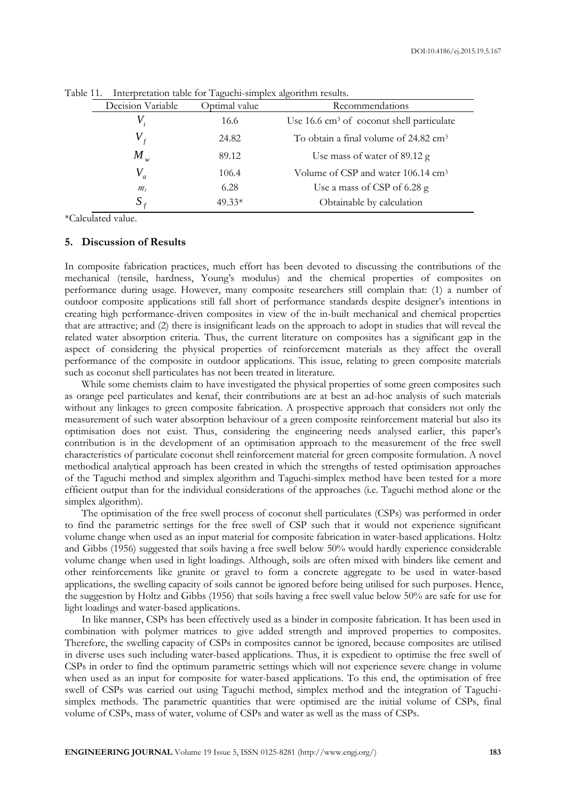|                   | $\rightarrow$ | $\epsilon$                                            |  |  |  |
|-------------------|---------------|-------------------------------------------------------|--|--|--|
| Decision Variable | Optimal value | Recommendations                                       |  |  |  |
|                   | 16.6          | Use 16.6 cm <sup>3</sup> of coconut shell particulate |  |  |  |
|                   | 24.82         | To obtain a final volume of 24.82 cm <sup>3</sup>     |  |  |  |
| $M_{w}$           | 89.12         | Use mass of water of 89.12 g                          |  |  |  |
|                   | 106.4         | Volume of CSP and water 106.14 cm <sup>3</sup>        |  |  |  |
| m <sub>s</sub>    | 6.28          | Use a mass of CSP of 6.28 g                           |  |  |  |
|                   | $49.33*$      | Obtainable by calculation                             |  |  |  |

Table 11. Interpretation table for Taguchi-simplex algorithm results.

\*Calculated value.

#### **5. Discussion of Results**

In composite fabrication practices, much effort has been devoted to discussing the contributions of the mechanical (tensile, hardness, Young's modulus) and the chemical properties of composites on performance during usage. However, many composite researchers still complain that: (1) a number of outdoor composite applications still fall short of performance standards despite designer's intentions in creating high performance-driven composites in view of the in-built mechanical and chemical properties that are attractive; and (2) there is insignificant leads on the approach to adopt in studies that will reveal the related water absorption criteria. Thus, the current literature on composites has a significant gap in the aspect of considering the physical properties of reinforcement materials as they affect the overall performance of the composite in outdoor applications. This issue, relating to green composite materials such as coconut shell particulates has not been treated in literature.

While some chemists claim to have investigated the physical properties of some green composites such as orange peel particulates and kenaf, their contributions are at best an ad-hoc analysis of such materials without any linkages to green composite fabrication. A prospective approach that considers not only the measurement of such water absorption behaviour of a green composite reinforcement material but also its optimisation does not exist. Thus, considering the engineering needs analysed earlier, this paper's contribution is in the development of an optimisation approach to the measurement of the free swell characteristics of particulate coconut shell reinforcement material for green composite formulation. A novel methodical analytical approach has been created in which the strengths of tested optimisation approaches of the Taguchi method and simplex algorithm and Taguchi-simplex method have been tested for a more efficient output than for the individual considerations of the approaches (i.e. Taguchi method alone or the simplex algorithm).

The optimisation of the free swell process of coconut shell particulates (CSPs) was performed in order to find the parametric settings for the free swell of CSP such that it would not experience significant volume change when used as an input material for composite fabrication in water-based applications. Holtz and Gibbs (1956) suggested that soils having a free swell below 50% would hardly experience considerable volume change when used in light loadings. Although, soils are often mixed with binders like cement and other reinforcements like granite or gravel to form a concrete aggregate to be used in water-based applications, the swelling capacity of soils cannot be ignored before being utilised for such purposes. Hence, the suggestion by Holtz and Gibbs (1956) that soils having a free swell value below 50% are safe for use for light loadings and water-based applications.

In like manner, CSPs has been effectively used as a binder in composite fabrication. It has been used in combination with polymer matrices to give added strength and improved properties to composites. Therefore, the swelling capacity of CSPs in composites cannot be ignored, because composites are utilised in diverse uses such including water-based applications. Thus, it is expedient to optimise the free swell of CSPs in order to find the optimum parametric settings which will not experience severe change in volume when used as an input for composite for water-based applications. To this end, the optimisation of free swell of CSPs was carried out using Taguchi method, simplex method and the integration of Taguchisimplex methods. The parametric quantities that were optimised are the initial volume of CSPs, final volume of CSPs, mass of water, volume of CSPs and water as well as the mass of CSPs.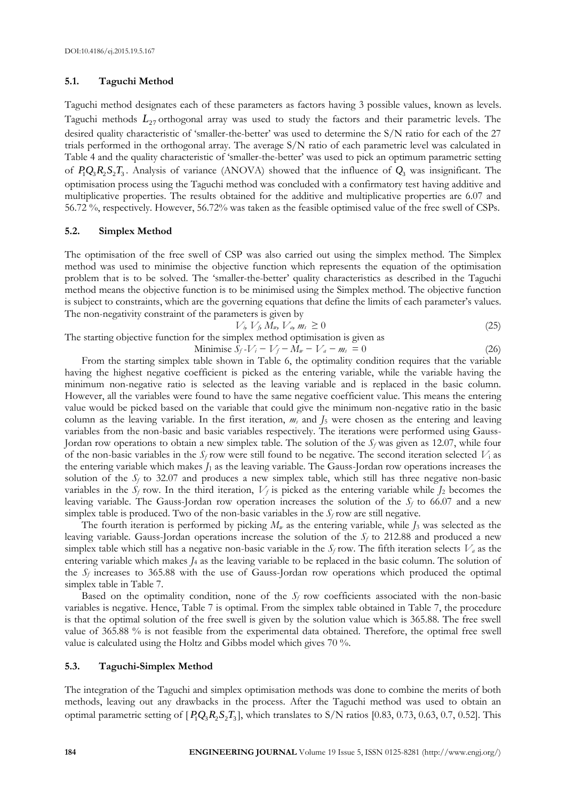#### **5.1. Taguchi Method**

Taguchi method designates each of these parameters as factors having 3 possible values, known as levels. Taguchi methods  $L_{27}$  orthogonal array was used to study the factors and their parametric levels. The desired quality characteristic of 'smaller-the-better' was used to determine the S/N ratio for each of the 27 trials performed in the orthogonal array. The average S/N ratio of each parametric level was calculated in Table 4 and the quality characteristic of 'smaller-the-better' was used to pick an optimum parametric setting of  $P_1Q_3R_2S_2T_3$ . Analysis of variance (ANOVA) showed that the influence of  $Q_3$  was insignificant. The optimisation process using the Taguchi method was concluded with a confirmatory test having additive and multiplicative properties. The results obtained for the additive and multiplicative properties are 6.07 and 56.72 %, respectively. However, 56.72% was taken as the feasible optimised value of the free swell of CSPs.

#### **5.2. Simplex Method**

The optimisation of the free swell of CSP was also carried out using the simplex method. The Simplex method was used to minimise the objective function which represents the equation of the optimisation problem that is to be solved. The 'smaller-the-better' quality characteristics as described in the Taguchi method means the objective function is to be minimised using the Simplex method. The objective function is subject to constraints, which are the governing equations that define the limits of each parameter's values. The non-negativity constraint of the parameters is given by

$$
V_i, V_j, M_w, V_a, m_s \ge 0 \tag{25}
$$

The starting objective function for the simplex method optimisation is given as

Minimise 
$$
S_f - V_i - V_f - M_w - V_a - m_s = 0
$$
 (26)

From the starting simplex table shown in Table 6, the optimality condition requires that the variable having the highest negative coefficient is picked as the entering variable, while the variable having the minimum non-negative ratio is selected as the leaving variable and is replaced in the basic column. However, all the variables were found to have the same negative coefficient value. This means the entering value would be picked based on the variable that could give the minimum non-negative ratio in the basic column as the leaving variable. In the first iteration, *m<sup>s</sup>* and *J*<sup>5</sup> were chosen as the entering and leaving variables from the non-basic and basic variables respectively. The iterations were performed using Gauss-Jordan row operations to obtain a new simplex table. The solution of the *S<sup>f</sup>* was given as 12.07, while four of the non-basic variables in the  $S_f$  row were still found to be negative. The second iteration selected  $V_i$  as the entering variable which makes  $J_1$  as the leaving variable. The Gauss-Jordan row operations increases the solution of the  $S_f$  to 32.07 and produces a new simplex table, which still has three negative non-basic variables in the  $S_f$  row. In the third iteration,  $V_f$  is picked as the entering variable while  $J_2$  becomes the leaving variable. The Gauss-Jordan row operation increases the solution of the *S<sup>f</sup>* to 66.07 and a new simplex table is produced. Two of the non-basic variables in the  $S_f$  row are still negative.

The fourth iteration is performed by picking  $M_w$  as the entering variable, while  $I_3$  was selected as the leaving variable. Gauss-Jordan operations increase the solution of the *S<sup>f</sup>* to 212.88 and produced a new simplex table which still has a negative non-basic variable in the  $S_f$  row. The fifth iteration selects  $V_a$  as the entering variable which makes *J*<sup>4</sup> as the leaving variable to be replaced in the basic column. The solution of the  $S_f$  increases to 365.88 with the use of Gauss-Jordan row operations which produced the optimal simplex table in Table 7.

Based on the optimality condition, none of the  $S_f$  row coefficients associated with the non-basic variables is negative. Hence, Table 7 is optimal. From the simplex table obtained in Table 7, the procedure is that the optimal solution of the free swell is given by the solution value which is 365.88. The free swell value of 365.88 % is not feasible from the experimental data obtained. Therefore, the optimal free swell value is calculated using the Holtz and Gibbs model which gives 70 %.

#### **5.3. Taguchi-Simplex Method**

The integration of the Taguchi and simplex optimisation methods was done to combine the merits of both methods, leaving out any drawbacks in the process. After the Taguchi method was used to obtain an optimal parametric setting of  $[P_1Q_3R_2S_2T_3]$ , which translates to S/N ratios [0.83, 0.73, 0.63, 0.7, 0.52]. This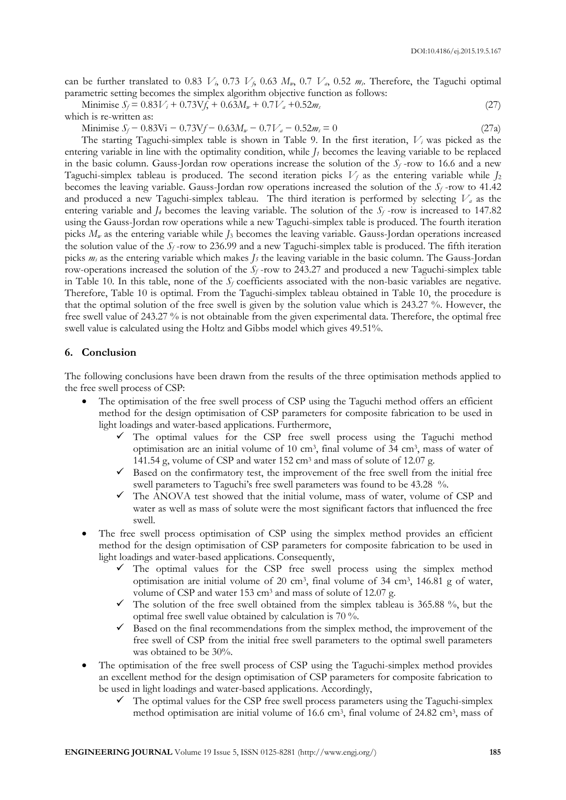can be further translated to 0.83  $V_i$ , 0.73  $V_i$ , 0.63  $M_w$ , 0.7  $V_a$ , 0.52  $m_s$ . Therefore, the Taguchi optimal parametric setting becomes the simplex algorithm objective function as follows:

Minimise 
$$
S_f = 0.83V_i + 0.73Vf_i + 0.63M_w + 0.7V_a + 0.52m_s
$$
 (27)

which is re-written as:

 $\text{Minimise } S_f - 0.83\text{Vi} - 0.73\text{Vf} - 0.63\text{M}_w - 0.7\text{V}_a - 0.52\text{m}_s = 0$  (27a)

The starting Taguchi-simplex table is shown in Table 9. In the first iteration, *V<sup>i</sup>* was picked as the entering variable in line with the optimality condition, while *J<sup>1</sup>* becomes the leaving variable to be replaced in the basic column. Gauss-Jordan row operations increase the solution of the  $S_f$ -row to 16.6 and a new Taguchi-simplex tableau is produced. The second iteration picks  $V_f$  as the entering variable while  $J_2$ becomes the leaving variable. Gauss-Jordan row operations increased the solution of the *S<sup>f</sup>* -row to 41.42 and produced a new Taguchi-simplex tableau. The third iteration is performed by selecting *V<sup>a</sup>* as the entering variable and *J<sub>4</sub>* becomes the leaving variable. The solution of the  $S_f$ -row is increased to 147.82 using the Gauss-Jordan row operations while a new Taguchi-simplex table is produced. The fourth iteration picks  $M_\nu$  as the entering variable while *J*<sub>3</sub> becomes the leaving variable. Gauss-Jordan operations increased the solution value of the *S<sup>f</sup>* -row to 236.99 and a new Taguchi-simplex table is produced. The fifth iteration picks *m<sup>s</sup>* as the entering variable which makes *J<sup>5</sup>* the leaving variable in the basic column. The Gauss-Jordan row-operations increased the solution of the  $S_f$ -row to 243.27 and produced a new Taguchi-simplex table in Table 10. In this table, none of the  $S_f$  coefficients associated with the non-basic variables are negative. Therefore, Table 10 is optimal. From the Taguchi-simplex tableau obtained in Table 10, the procedure is that the optimal solution of the free swell is given by the solution value which is 243.27 %. However, the free swell value of 243.27 % is not obtainable from the given experimental data. Therefore, the optimal free swell value is calculated using the Holtz and Gibbs model which gives 49.51%.

### **6. Conclusion**

The following conclusions have been drawn from the results of the three optimisation methods applied to the free swell process of CSP:

- The optimisation of the free swell process of CSP using the Taguchi method offers an efficient method for the design optimisation of CSP parameters for composite fabrication to be used in light loadings and water-based applications. Furthermore,
	- $\checkmark$  The optimal values for the CSP free swell process using the Taguchi method optimisation are an initial volume of 10 cm<sup>3</sup> , final volume of 34 cm<sup>3</sup> , mass of water of 141.54 g, volume of CSP and water 152 cm<sup>3</sup> and mass of solute of 12.07 g.
	- $\checkmark$  Based on the confirmatory test, the improvement of the free swell from the initial free swell parameters to Taguchi's free swell parameters was found to be 43.28 %.
	- $\checkmark$  The ANOVA test showed that the initial volume, mass of water, volume of CSP and water as well as mass of solute were the most significant factors that influenced the free swell.
- The free swell process optimisation of CSP using the simplex method provides an efficient method for the design optimisation of CSP parameters for composite fabrication to be used in light loadings and water-based applications. Consequently,
	- $\checkmark$  The optimal values for the CSP free swell process using the simplex method optimisation are initial volume of 20 cm<sup>3</sup> , final volume of 34 cm<sup>3</sup> , 146.81 g of water, volume of CSP and water 153 cm<sup>3</sup> and mass of solute of 12.07 g.
	- $\checkmark$  The solution of the free swell obtained from the simplex tableau is 365.88 %, but the optimal free swell value obtained by calculation is 70 %.
	- $\checkmark$  Based on the final recommendations from the simplex method, the improvement of the free swell of CSP from the initial free swell parameters to the optimal swell parameters was obtained to be 30%.
- The optimisation of the free swell process of CSP using the Taguchi-simplex method provides an excellent method for the design optimisation of CSP parameters for composite fabrication to be used in light loadings and water-based applications. Accordingly,
	- The optimal values for the CSP free swell process parameters using the Taguchi-simplex method optimisation are initial volume of 16.6 cm<sup>3</sup>, final volume of 24.82 cm<sup>3</sup>, mass of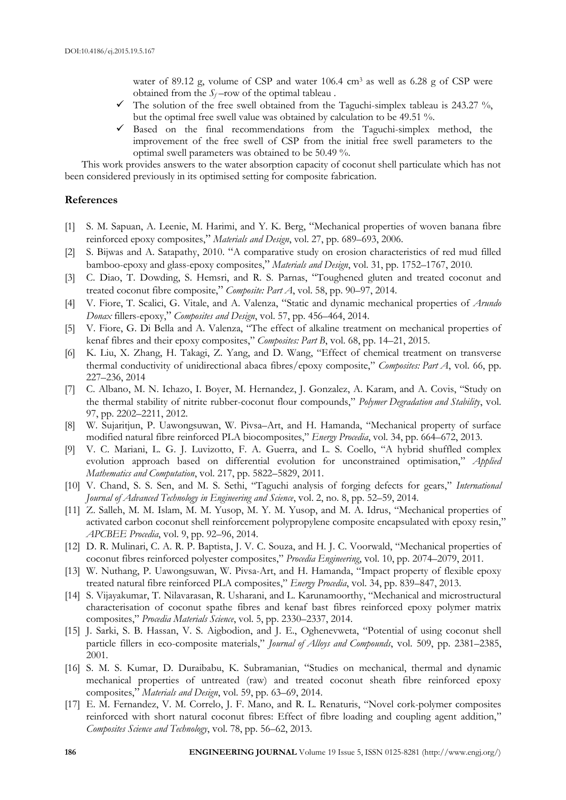water of 89.12 g, volume of CSP and water  $106.4 \text{ cm}^3$  as well as 6.28 g of CSP were obtained from the  $S_f$ -row of the optimal tableau.

- $\checkmark$  The solution of the free swell obtained from the Taguchi-simplex tableau is 243.27 %, but the optimal free swell value was obtained by calculation to be 49.51 %.
- $\checkmark$  Based on the final recommendations from the Taguchi-simplex method, the improvement of the free swell of CSP from the initial free swell parameters to the optimal swell parameters was obtained to be 50.49 %.

This work provides answers to the water absorption capacity of coconut shell particulate which has not been considered previously in its optimised setting for composite fabrication.

# **References**

- [1] S. M. Sapuan, A. Leenie, M. Harimi, and Y. K. Berg, "Mechanical properties of woven banana fibre reinforced epoxy composites," *Materials and Design*, vol. 27, pp. 689–693, 2006.
- [2] S. Bijwas and A. Satapathy, 2010. "A comparative study on erosion characteristics of red mud filled bamboo-epoxy and glass-epoxy composites," *Materials and Design*, vol. 31, pp. 1752–1767, 2010.
- [3] C. Diao, T. Dowding, S. Hemsri, and R. S. Parnas, "Toughened gluten and treated coconut and treated coconut fibre composite," *Composite: Part A*, vol. 58, pp. 90–97, 2014.
- [4] V. Fiore, T. Scalici, G. Vitale, and A. Valenza, "Static and dynamic mechanical properties of *Arundo Donax* fillers-epoxy," *Composites and Design*, vol. 57, pp. 456–464, 2014.
- [5] V. Fiore, G. Di Bella and A. Valenza, "The effect of alkaline treatment on mechanical properties of kenaf fibres and their epoxy composites," *Composites: Part B*, vol. 68, pp. 14–21, 2015.
- [6] K. Liu, X. Zhang, H. Takagi, Z. Yang, and D. Wang, "Effect of chemical treatment on transverse thermal conductivity of unidirectional abaca fibres/epoxy composite," *Composites: Part A*, vol. 66, pp. 227–236, 2014
- [7] C. Albano, M. N. Ichazo, I. Boyer, M. Hernandez, J. Gonzalez, A. Karam, and A. Covis, "Study on the thermal stability of nitrite rubber-coconut flour compounds," *Polymer Degradation and Stability*, vol. 97, pp. 2202–2211, 2012.
- [8] W. Sujaritjun, P. Uawongsuwan, W. Pivsa–Art, and H. Hamanda, "Mechanical property of surface modified natural fibre reinforced PLA biocomposites," *Energy Procedia*, vol. 34, pp. 664–672, 2013.
- [9] V. C. Mariani, L. G. J. Luvizotto, F. A. Guerra, and L. S. Coello, "A hybrid shuffled complex evolution approach based on differential evolution for unconstrained optimisation," *Applied Mathematics and Computation*, vol. 217, pp. 5822–5829, 2011.
- [10] V. Chand, S. S. Sen, and M. S. Sethi, "Taguchi analysis of forging defects for gears," *International Journal of Advanced Technology in Engineering and Science*, vol. 2, no. 8, pp. 52–59, 2014.
- [11] Z. Salleh, M. M. Islam, M. M. Yusop, M. Y. M. Yusop, and M. A. Idrus, "Mechanical properties of activated carbon coconut shell reinforcement polypropylene composite encapsulated with epoxy resin," *APCBEE Procedia*, vol. 9, pp. 92–96, 2014.
- [12] D. R. Mulinari, C. A. R. P. Baptista, J. V. C. Souza, and H. J. C. Voorwald, "Mechanical properties of coconut fibres reinforced polyester composites," *Procedia Engineering*, vol. 10, pp. 2074–2079, 2011.
- [13] W. Nuthang, P. Uawongsuwan, W. Pivsa-Art, and H. Hamanda, "Impact property of flexible epoxy treated natural fibre reinforced PLA composites," *Energy Procedia*, vol. 34, pp. 839–847, 2013.
- [14] S. Vijayakumar, T. Nilavarasan, R. Usharani, and L. Karunamoorthy, "Mechanical and microstructural characterisation of coconut spathe fibres and kenaf bast fibres reinforced epoxy polymer matrix composites," *Procedia Materials Science*, vol. 5, pp. 2330–2337, 2014.
- [15] J. Sarki, S. B. Hassan, V. S. Aigbodion, and J. E., Oghenevweta, "Potential of using coconut shell particle fillers in eco-composite materials," *Journal of Alloys and Compounds*, vol. 509, pp. 2381–2385, 2001.
- [16] S. M. S. Kumar, D. Duraibabu, K. Subramanian, "Studies on mechanical, thermal and dynamic mechanical properties of untreated (raw) and treated coconut sheath fibre reinforced epoxy composites," *Materials and Design*, vol. 59, pp. 63–69, 2014.
- [17] E. M. Fernandez, V. M. Correlo, J. F. Mano, and R. L. Renaturis, "Novel cork-polymer composites reinforced with short natural coconut fibres: Effect of fibre loading and coupling agent addition," *Composites Science and Technology*, vol. 78, pp. 56–62, 2013.